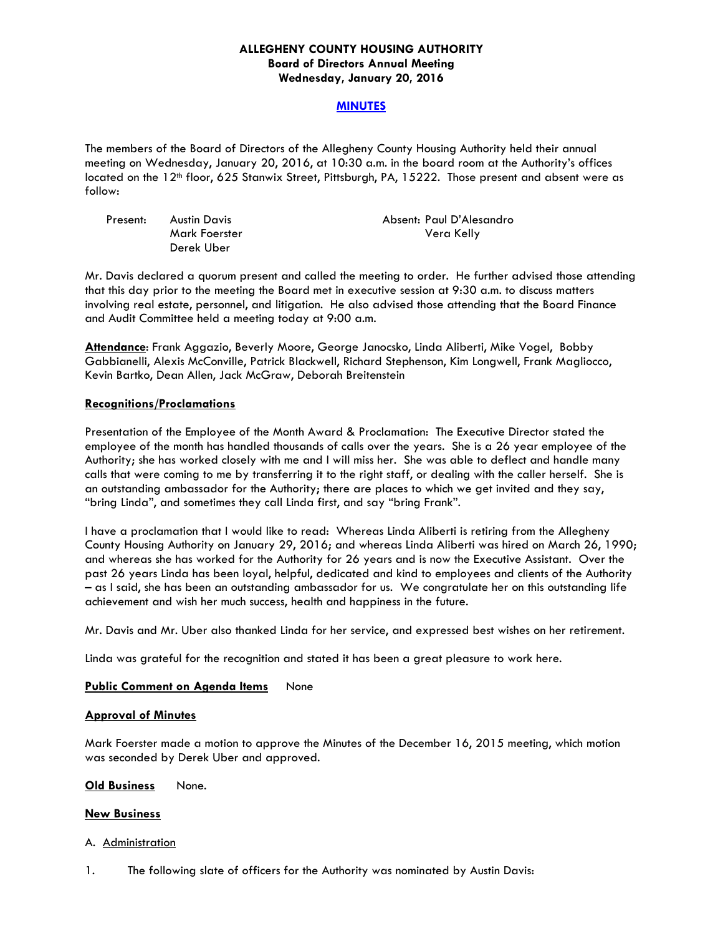## **ALLEGHENY COUNTY HOUSING AUTHORITY Board of Directors Annual Meeting Wednesday, January 20, 2016**

## **MINUTES**

The members of the Board of Directors of the Allegheny County Housing Authority held their annual meeting on Wednesday, January 20, 2016, at 10:30 a.m. in the board room at the Authority's offices located on the 12<sup>th</sup> floor, 625 Stanwix Street, Pittsburgh, PA, 15222. Those present and absent were as follow:

| Present: | Austin Davis  | Absent: Paul D'Alesandro |
|----------|---------------|--------------------------|
|          | Mark Foerster | Vera Kelly               |
|          | Derek Uber    |                          |

Mr. Davis declared a quorum present and called the meeting to order. He further advised those attending that this day prior to the meeting the Board met in executive session at 9:30 a.m. to discuss matters involving real estate, personnel, and litigation. He also advised those attending that the Board Finance and Audit Committee held a meeting today at 9:00 a.m.

**Attendance**: Frank Aggazio, Beverly Moore, George Janocsko, Linda Aliberti, Mike Vogel, Bobby Gabbianelli, Alexis McConville, Patrick Blackwell, Richard Stephenson, Kim Longwell, Frank Magliocco, Kevin Bartko, Dean Allen, Jack McGraw, Deborah Breitenstein

## **Recognitions/Proclamations**

Presentation of the Employee of the Month Award & Proclamation: The Executive Director stated the employee of the month has handled thousands of calls over the years. She is a 26 year employee of the Authority; she has worked closely with me and I will miss her. She was able to deflect and handle many calls that were coming to me by transferring it to the right staff, or dealing with the caller herself. She is an outstanding ambassador for the Authority; there are places to which we get invited and they say, "bring Linda", and sometimes they call Linda first, and say "bring Frank".

I have a proclamation that I would like to read: Whereas Linda Aliberti is retiring from the Allegheny County Housing Authority on January 29, 2016; and whereas Linda Aliberti was hired on March 26, 1990; and whereas she has worked for the Authority for 26 years and is now the Executive Assistant. Over the past 26 years Linda has been loyal, helpful, dedicated and kind to employees and clients of the Authority – as I said, she has been an outstanding ambassador for us. We congratulate her on this outstanding life achievement and wish her much success, health and happiness in the future.

Mr. Davis and Mr. Uber also thanked Linda for her service, and expressed best wishes on her retirement.

Linda was grateful for the recognition and stated it has been a great pleasure to work here.

## **Public Comment on Agenda Items** None

## **Approval of Minutes**

Mark Foerster made a motion to approve the Minutes of the December 16, 2015 meeting, which motion was seconded by Derek Uber and approved.

### **Old Business** None.

## **New Business**

### A. Administration

1. The following slate of officers for the Authority was nominated by Austin Davis: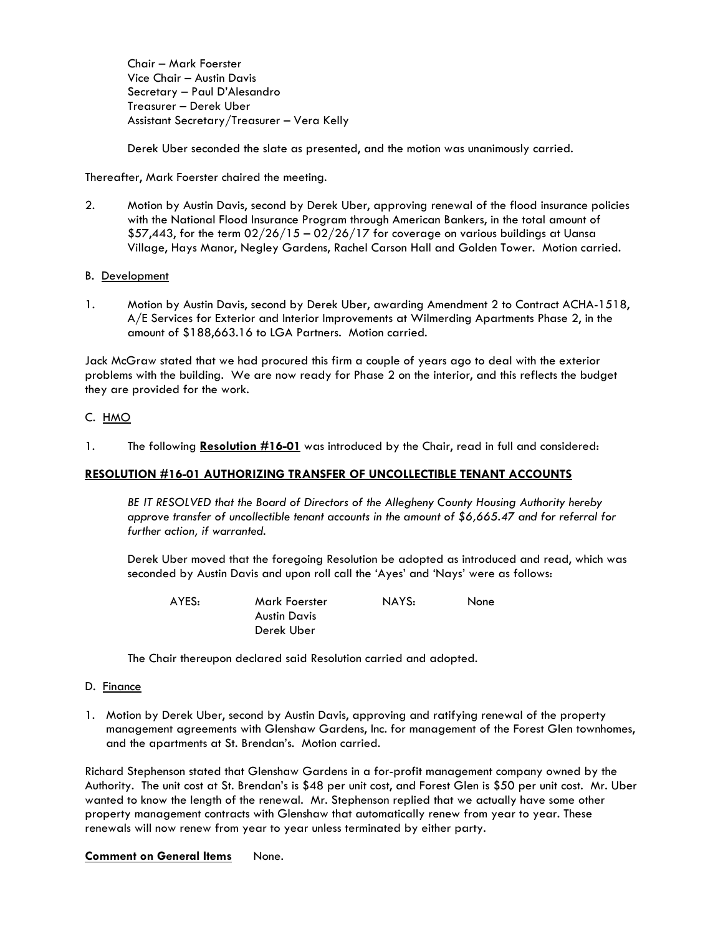Chair – Mark Foerster Vice Chair – Austin Davis Secretary – Paul D'Alesandro Treasurer – Derek Uber Assistant Secretary/Treasurer – Vera Kelly

Derek Uber seconded the slate as presented, and the motion was unanimously carried.

Thereafter, Mark Foerster chaired the meeting.

- 2. Motion by Austin Davis, second by Derek Uber, approving renewal of the flood insurance policies with the National Flood Insurance Program through American Bankers, in the total amount of \$57,443, for the term  $02/26/15 - 02/26/17$  for coverage on various buildings at Uansa Village, Hays Manor, Negley Gardens, Rachel Carson Hall and Golden Tower. Motion carried.
- B. Development
- 1. Motion by Austin Davis, second by Derek Uber, awarding Amendment 2 to Contract ACHA-1518, A/E Services for Exterior and Interior Improvements at Wilmerding Apartments Phase 2, in the amount of \$188,663.16 to LGA Partners. Motion carried.

Jack McGraw stated that we had procured this firm a couple of years ago to deal with the exterior problems with the building. We are now ready for Phase 2 on the interior, and this reflects the budget they are provided for the work.

#### C. HMO

1. The following **Resolution #16-01** was introduced by the Chair, read in full and considered:

#### **RESOLUTION #16-01 AUTHORIZING TRANSFER OF UNCOLLECTIBLE TENANT ACCOUNTS**

 *BE IT RESOLVED that the Board of Directors of the Allegheny County Housing Authority hereby approve transfer of uncollectible tenant accounts in the amount of \$6,665.47 and for referral for further action, if warranted.* 

Derek Uber moved that the foregoing Resolution be adopted as introduced and read, which was seconded by Austin Davis and upon roll call the 'Ayes' and 'Nays' were as follows:

| AYES: | Mark Foerster | NAYS: | None |
|-------|---------------|-------|------|
|       | Austin Davis  |       |      |
|       | Derek Uber    |       |      |

The Chair thereupon declared said Resolution carried and adopted.

- D. Finance
- 1. Motion by Derek Uber, second by Austin Davis, approving and ratifying renewal of the property management agreements with Glenshaw Gardens, Inc. for management of the Forest Glen townhomes, and the apartments at St. Brendan's. Motion carried.

Richard Stephenson stated that Glenshaw Gardens in a for-profit management company owned by the Authority. The unit cost at St. Brendan's is \$48 per unit cost, and Forest Glen is \$50 per unit cost. Mr. Uber wanted to know the length of the renewal. Mr. Stephenson replied that we actually have some other property management contracts with Glenshaw that automatically renew from year to year. These renewals will now renew from year to year unless terminated by either party.

**Comment on General Items None.**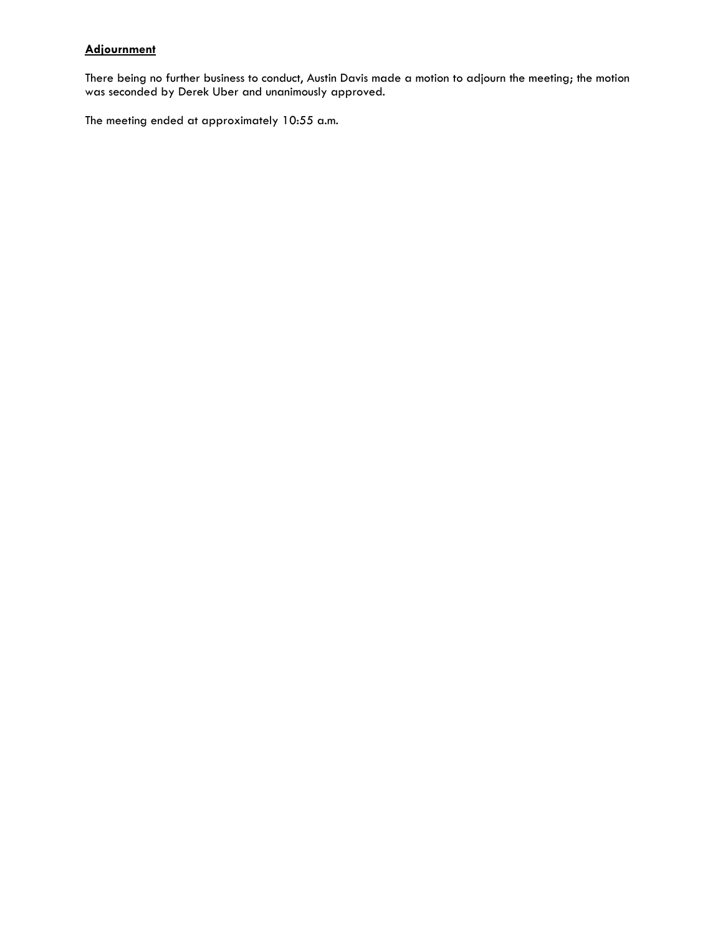# **Adjournment**

There being no further business to conduct, Austin Davis made a motion to adjourn the meeting; the motion was seconded by Derek Uber and unanimously approved.

The meeting ended at approximately 10:55 a.m.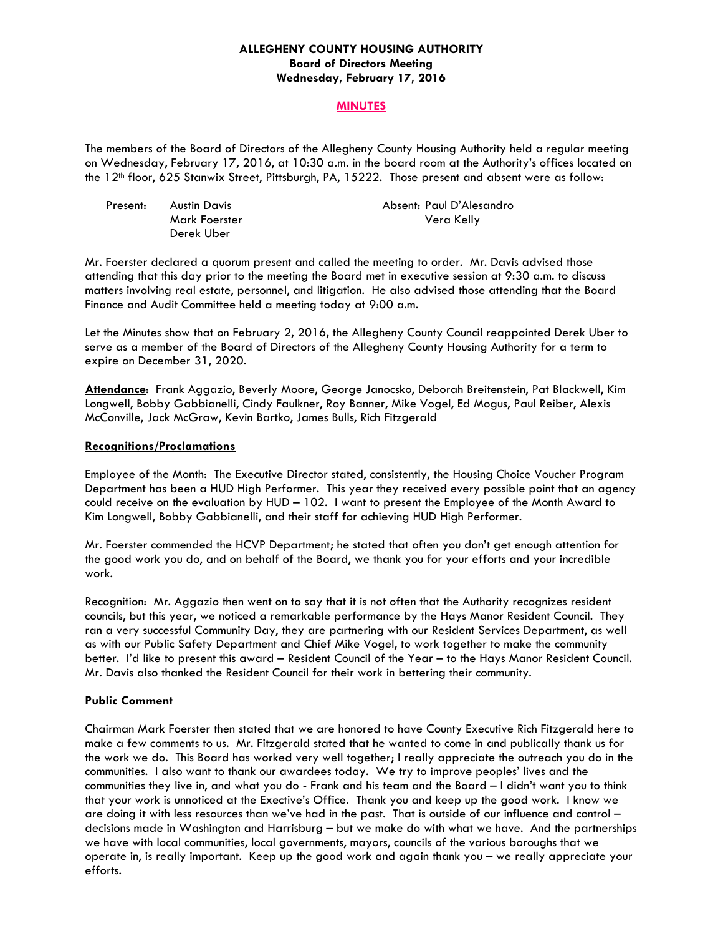## **ALLEGHENY COUNTY HOUSING AUTHORITY Board of Directors Meeting Wednesday, February 17, 2016**

### **MINUTES**

The members of the Board of Directors of the Allegheny County Housing Authority held a regular meeting on Wednesday, February 17, 2016, at 10:30 a.m. in the board room at the Authority's offices located on the 12th floor, 625 Stanwix Street, Pittsburgh, PA, 15222. Those present and absent were as follow:

| Present: | Austin Davis  | Absent: Paul D'Alesandro |
|----------|---------------|--------------------------|
|          | Mark Foerster | Vera Kelly               |
|          | Derek Uber    |                          |

Mr. Foerster declared a quorum present and called the meeting to order. Mr. Davis advised those attending that this day prior to the meeting the Board met in executive session at 9:30 a.m. to discuss matters involving real estate, personnel, and litigation. He also advised those attending that the Board Finance and Audit Committee held a meeting today at 9:00 a.m.

Let the Minutes show that on February 2, 2016, the Allegheny County Council reappointed Derek Uber to serve as a member of the Board of Directors of the Allegheny County Housing Authority for a term to expire on December 31, 2020.

**Attendance**: Frank Aggazio, Beverly Moore, George Janocsko, Deborah Breitenstein, Pat Blackwell, Kim Longwell, Bobby Gabbianelli, Cindy Faulkner, Roy Banner, Mike Vogel, Ed Mogus, Paul Reiber, Alexis McConville, Jack McGraw, Kevin Bartko, James Bulls, Rich Fitzgerald

#### **Recognitions/Proclamations**

Employee of the Month: The Executive Director stated, consistently, the Housing Choice Voucher Program Department has been a HUD High Performer. This year they received every possible point that an agency could receive on the evaluation by HUD – 102. I want to present the Employee of the Month Award to Kim Longwell, Bobby Gabbianelli, and their staff for achieving HUD High Performer.

Mr. Foerster commended the HCVP Department; he stated that often you don't get enough attention for the good work you do, and on behalf of the Board, we thank you for your efforts and your incredible work.

Recognition: Mr. Aggazio then went on to say that it is not often that the Authority recognizes resident councils, but this year, we noticed a remarkable performance by the Hays Manor Resident Council. They ran a very successful Community Day, they are partnering with our Resident Services Department, as well as with our Public Safety Department and Chief Mike Vogel, to work together to make the community better. I'd like to present this award – Resident Council of the Year – to the Hays Manor Resident Council. Mr. Davis also thanked the Resident Council for their work in bettering their community.

### **Public Comment**

Chairman Mark Foerster then stated that we are honored to have County Executive Rich Fitzgerald here to make a few comments to us. Mr. Fitzgerald stated that he wanted to come in and publically thank us for the work we do. This Board has worked very well together; I really appreciate the outreach you do in the communities. I also want to thank our awardees today. We try to improve peoples' lives and the communities they live in, and what you do - Frank and his team and the Board – I didn't want you to think that your work is unnoticed at the Exective's Office. Thank you and keep up the good work. I know we are doing it with less resources than we've had in the past. That is outside of our influence and control – decisions made in Washington and Harrisburg – but we make do with what we have. And the partnerships we have with local communities, local governments, mayors, councils of the various boroughs that we operate in, is really important. Keep up the good work and again thank you – we really appreciate your efforts.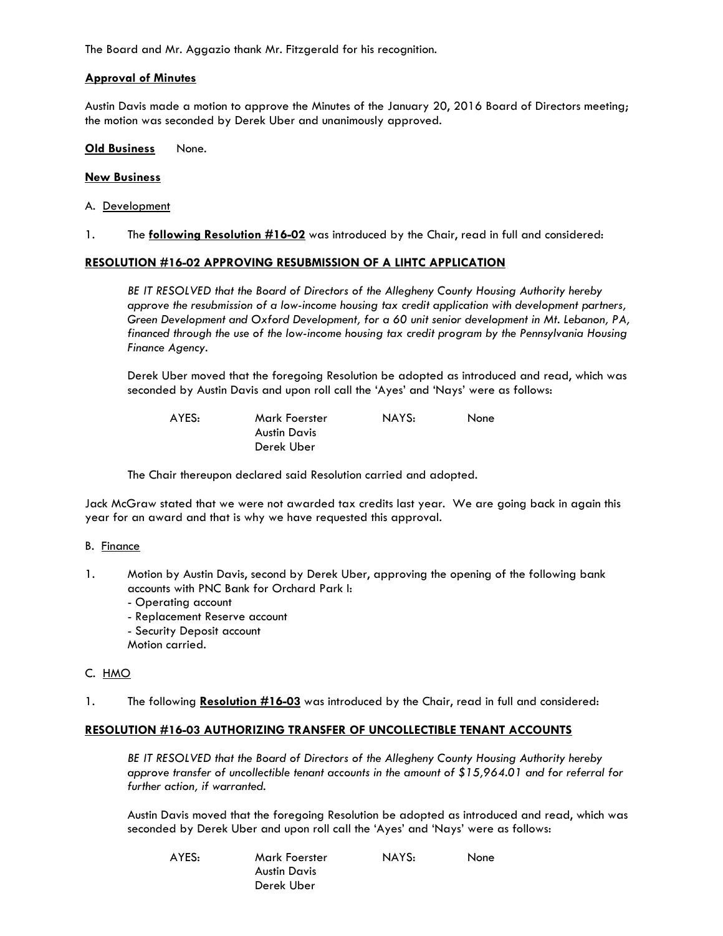The Board and Mr. Aggazio thank Mr. Fitzgerald for his recognition.

#### **Approval of Minutes**

Austin Davis made a motion to approve the Minutes of the January 20, 2016 Board of Directors meeting; the motion was seconded by Derek Uber and unanimously approved.

**Old Business** None.

#### **New Business**

- A. Development
- 1. The **following Resolution #16-02** was introduced by the Chair, read in full and considered:

### **RESOLUTION #16-02 APPROVING RESUBMISSION OF A LIHTC APPLICATION**

 *BE IT RESOLVED that the Board of Directors of the Allegheny County Housing Authority hereby approve the resubmission of a low-income housing tax credit application with development partners, Green Development and Oxford Development, for a 60 unit senior development in Mt. Lebanon, PA, financed through the use of the low-income housing tax credit program by the Pennsylvania Housing Finance Agency.* 

Derek Uber moved that the foregoing Resolution be adopted as introduced and read, which was seconded by Austin Davis and upon roll call the 'Ayes' and 'Nays' were as follows:

| AYES: | Mark Foerster | NAYS: | None |
|-------|---------------|-------|------|
|       | Austin Davis  |       |      |
|       | Derek Uber    |       |      |

The Chair thereupon declared said Resolution carried and adopted.

Jack McGraw stated that we were not awarded tax credits last year. We are going back in again this year for an award and that is why we have requested this approval.

#### B. Finance

- 1. Motion by Austin Davis, second by Derek Uber, approving the opening of the following bank accounts with PNC Bank for Orchard Park I:
	- Operating account
	- Replacement Reserve account
	- Security Deposit account
	- Motion carried.

### C. HMO

1. The following **Resolution #16-03** was introduced by the Chair, read in full and considered:

### **RESOLUTION #16-03 AUTHORIZING TRANSFER OF UNCOLLECTIBLE TENANT ACCOUNTS**

 *BE IT RESOLVED that the Board of Directors of the Allegheny County Housing Authority hereby approve transfer of uncollectible tenant accounts in the amount of \$15,964.01 and for referral for further action, if warranted.* 

Austin Davis moved that the foregoing Resolution be adopted as introduced and read, which was seconded by Derek Uber and upon roll call the 'Ayes' and 'Nays' were as follows:

| AYES: | Mark Foerster | NAYS: | None |
|-------|---------------|-------|------|
|       | Austin Davis  |       |      |
|       | Derek Uber    |       |      |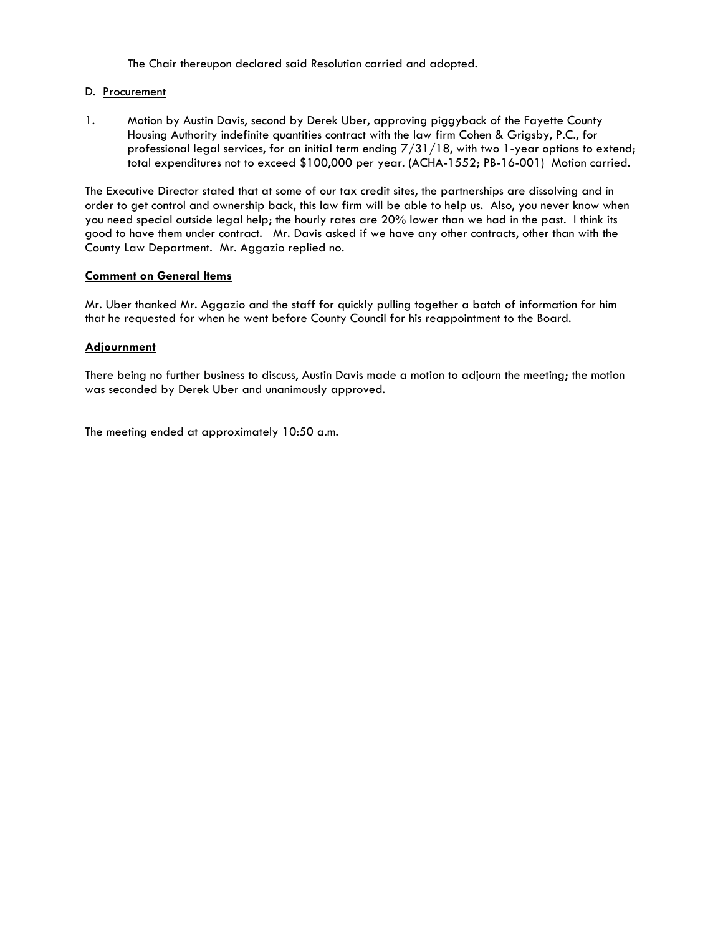The Chair thereupon declared said Resolution carried and adopted.

#### D. Procurement

1. Motion by Austin Davis, second by Derek Uber, approving piggyback of the Fayette County Housing Authority indefinite quantities contract with the law firm Cohen & Grigsby, P.C., for professional legal services, for an initial term ending  $7/31/18$ , with two 1-year options to extend; total expenditures not to exceed \$100,000 per year. (ACHA-1552; PB-16-001) Motion carried.

The Executive Director stated that at some of our tax credit sites, the partnerships are dissolving and in order to get control and ownership back, this law firm will be able to help us. Also, you never know when you need special outside legal help; the hourly rates are 20% lower than we had in the past. I think its good to have them under contract. Mr. Davis asked if we have any other contracts, other than with the County Law Department. Mr. Aggazio replied no.

#### **Comment on General Items**

Mr. Uber thanked Mr. Aggazio and the staff for quickly pulling together a batch of information for him that he requested for when he went before County Council for his reappointment to the Board.

### **Adjournment**

There being no further business to discuss, Austin Davis made a motion to adjourn the meeting; the motion was seconded by Derek Uber and unanimously approved.

The meeting ended at approximately 10:50 a.m.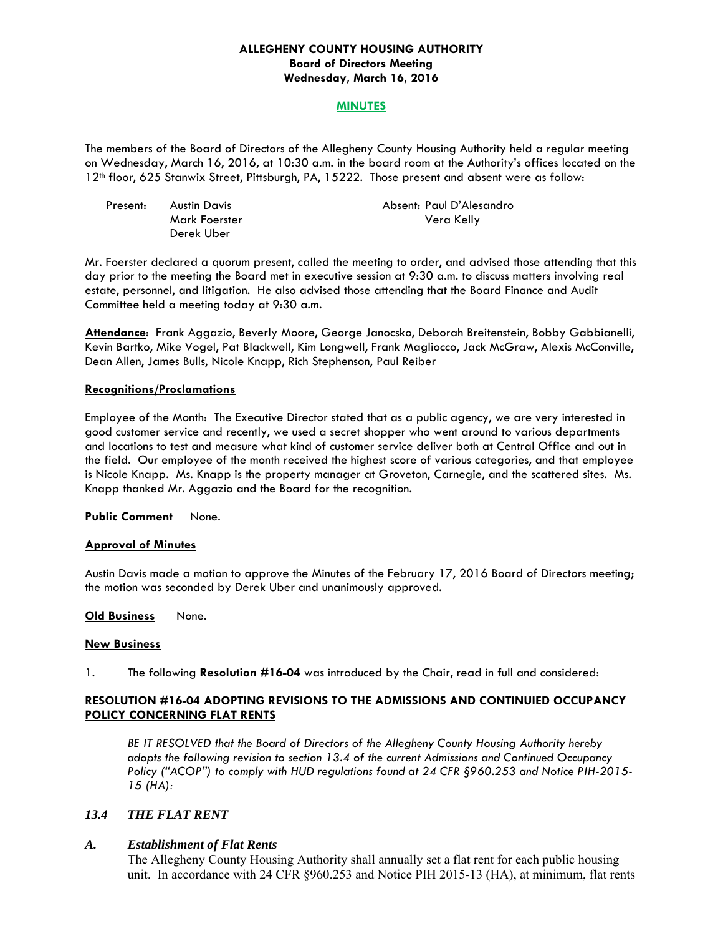## **ALLEGHENY COUNTY HOUSING AUTHORITY Board of Directors Meeting Wednesday, March 16, 2016**

### **MINUTES**

The members of the Board of Directors of the Allegheny County Housing Authority held a regular meeting on Wednesday, March 16, 2016, at 10:30 a.m. in the board room at the Authority's offices located on the 12th floor, 625 Stanwix Street, Pittsburgh, PA, 15222. Those present and absent were as follow:

| Present: | Austin Davis  | Absent: Paul D'Alesandro |
|----------|---------------|--------------------------|
|          | Mark Foerster | Vera Kelly               |
|          | Derek Uber    |                          |

Mr. Foerster declared a quorum present, called the meeting to order, and advised those attending that this day prior to the meeting the Board met in executive session at 9:30 a.m. to discuss matters involving real estate, personnel, and litigation. He also advised those attending that the Board Finance and Audit Committee held a meeting today at 9:30 a.m.

**Attendance**: Frank Aggazio, Beverly Moore, George Janocsko, Deborah Breitenstein, Bobby Gabbianelli, Kevin Bartko, Mike Vogel, Pat Blackwell, Kim Longwell, Frank Magliocco, Jack McGraw, Alexis McConville, Dean Allen, James Bulls, Nicole Knapp, Rich Stephenson, Paul Reiber

#### **Recognitions/Proclamations**

Employee of the Month: The Executive Director stated that as a public agency, we are very interested in good customer service and recently, we used a secret shopper who went around to various departments and locations to test and measure what kind of customer service deliver both at Central Office and out in the field. Our employee of the month received the highest score of various categories, and that employee is Nicole Knapp. Ms. Knapp is the property manager at Groveton, Carnegie, and the scattered sites. Ms. Knapp thanked Mr. Aggazio and the Board for the recognition.

#### **Public Comment** None.

#### **Approval of Minutes**

Austin Davis made a motion to approve the Minutes of the February 17, 2016 Board of Directors meeting; the motion was seconded by Derek Uber and unanimously approved.

#### **Old Business** None.

## **New Business**

1. The following **Resolution #16-04** was introduced by the Chair, read in full and considered:

### **RESOLUTION #16-04 ADOPTING REVISIONS TO THE ADMISSIONS AND CONTINUIED OCCUPANCY POLICY CONCERNING FLAT RENTS**

 *BE IT RESOLVED that the Board of Directors of the Allegheny County Housing Authority hereby adopts the following revision to section 13.4 of the current Admissions and Continued Occupancy Policy ("ACOP") to comply with HUD regulations found at 24 CFR §960.253 and Notice PIH-2015- 15 (HA):* 

### *13.4 THE FLAT RENT*

### *A. Establishment of Flat Rents*

 The Allegheny County Housing Authority shall annually set a flat rent for each public housing unit. In accordance with 24 CFR §960.253 and Notice PIH 2015-13 (HA), at minimum, flat rents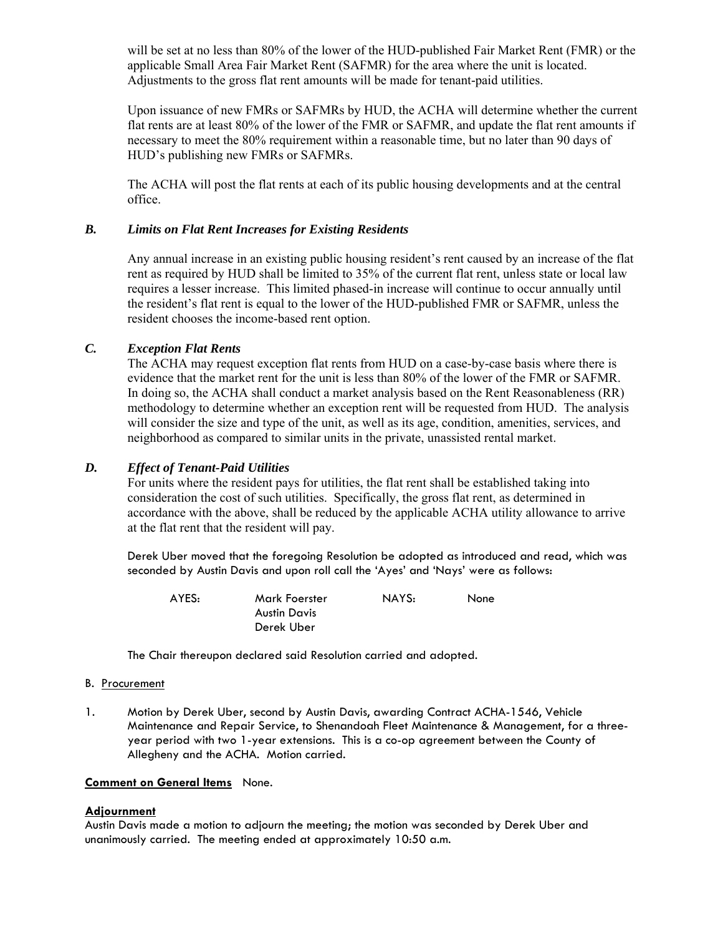will be set at no less than 80% of the lower of the HUD-published Fair Market Rent (FMR) or the applicable Small Area Fair Market Rent (SAFMR) for the area where the unit is located. Adjustments to the gross flat rent amounts will be made for tenant-paid utilities.

 Upon issuance of new FMRs or SAFMRs by HUD, the ACHA will determine whether the current flat rents are at least 80% of the lower of the FMR or SAFMR, and update the flat rent amounts if necessary to meet the 80% requirement within a reasonable time, but no later than 90 days of HUD's publishing new FMRs or SAFMRs.

 The ACHA will post the flat rents at each of its public housing developments and at the central office.

## *B. Limits on Flat Rent Increases for Existing Residents*

Any annual increase in an existing public housing resident's rent caused by an increase of the flat rent as required by HUD shall be limited to 35% of the current flat rent, unless state or local law requires a lesser increase. This limited phased-in increase will continue to occur annually until the resident's flat rent is equal to the lower of the HUD-published FMR or SAFMR, unless the resident chooses the income-based rent option.

## *C. Exception Flat Rents*

 The ACHA may request exception flat rents from HUD on a case-by-case basis where there is evidence that the market rent for the unit is less than 80% of the lower of the FMR or SAFMR. In doing so, the ACHA shall conduct a market analysis based on the Rent Reasonableness (RR) methodology to determine whether an exception rent will be requested from HUD. The analysis will consider the size and type of the unit, as well as its age, condition, amenities, services, and neighborhood as compared to similar units in the private, unassisted rental market.

## *D. Effect of Tenant-Paid Utilities*

 For units where the resident pays for utilities, the flat rent shall be established taking into consideration the cost of such utilities. Specifically, the gross flat rent, as determined in accordance with the above, shall be reduced by the applicable ACHA utility allowance to arrive at the flat rent that the resident will pay.

Derek Uber moved that the foregoing Resolution be adopted as introduced and read, which was seconded by Austin Davis and upon roll call the 'Ayes' and 'Nays' were as follows:

 AYES: Mark Foerster NAYS: None Austin Davis Derek Uber

The Chair thereupon declared said Resolution carried and adopted.

### B. Procurement

1. Motion by Derek Uber, second by Austin Davis, awarding Contract ACHA-1546, Vehicle Maintenance and Repair Service, to Shenandoah Fleet Maintenance & Management, for a threeyear period with two 1-year extensions. This is a co-op agreement between the County of Allegheny and the ACHA. Motion carried.

### **Comment on General Items** None.

#### **Adjournment**

Austin Davis made a motion to adjourn the meeting; the motion was seconded by Derek Uber and unanimously carried. The meeting ended at approximately 10:50 a.m.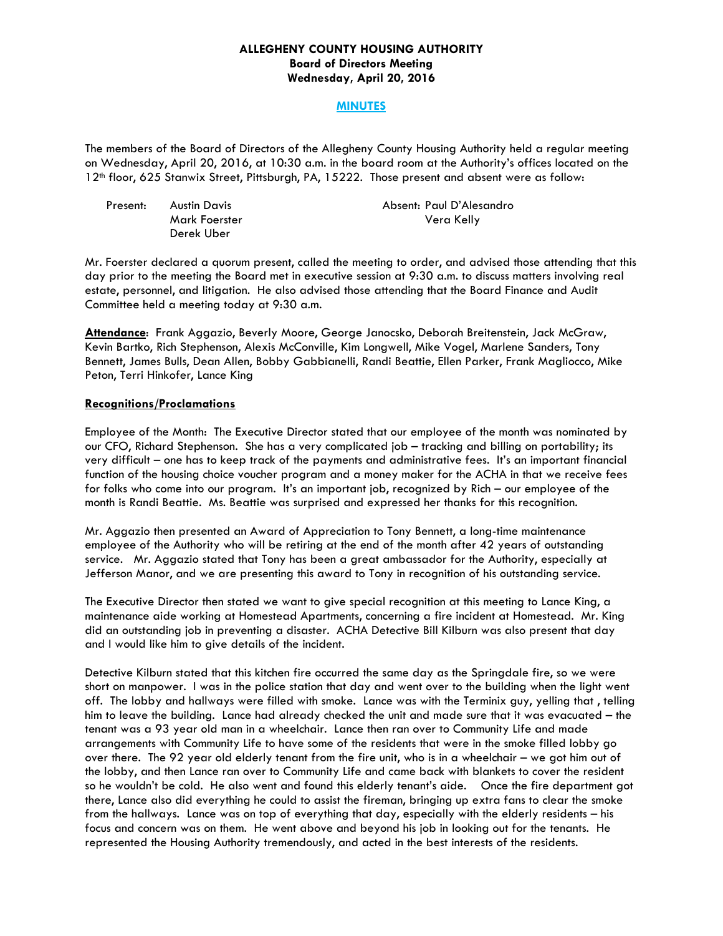## **ALLEGHENY COUNTY HOUSING AUTHORITY Board of Directors Meeting Wednesday, April 20, 2016**

#### **MINUTES**

The members of the Board of Directors of the Allegheny County Housing Authority held a regular meeting on Wednesday, April 20, 2016, at 10:30 a.m. in the board room at the Authority's offices located on the 12th floor, 625 Stanwix Street, Pittsburgh, PA, 15222. Those present and absent were as follow:

| Present: | Austin Davis  | Absent: Paul D'Alesandro |
|----------|---------------|--------------------------|
|          | Mark Foerster | Vera Kelly               |
|          | Derek Uber    |                          |

Mr. Foerster declared a quorum present, called the meeting to order, and advised those attending that this day prior to the meeting the Board met in executive session at 9:30 a.m. to discuss matters involving real estate, personnel, and litigation. He also advised those attending that the Board Finance and Audit Committee held a meeting today at 9:30 a.m.

**Attendance**: Frank Aggazio, Beverly Moore, George Janocsko, Deborah Breitenstein, Jack McGraw, Kevin Bartko, Rich Stephenson, Alexis McConville, Kim Longwell, Mike Vogel, Marlene Sanders, Tony Bennett, James Bulls, Dean Allen, Bobby Gabbianelli, Randi Beattie, Ellen Parker, Frank Magliocco, Mike Peton, Terri Hinkofer, Lance King

#### **Recognitions/Proclamations**

Employee of the Month: The Executive Director stated that our employee of the month was nominated by our CFO, Richard Stephenson. She has a very complicated job – tracking and billing on portability; its very difficult – one has to keep track of the payments and administrative fees. It's an important financial function of the housing choice voucher program and a money maker for the ACHA in that we receive fees for folks who come into our program. It's an important job, recognized by Rich – our employee of the month is Randi Beattie. Ms. Beattie was surprised and expressed her thanks for this recognition.

Mr. Aggazio then presented an Award of Appreciation to Tony Bennett, a long-time maintenance employee of the Authority who will be retiring at the end of the month after 42 years of outstanding service. Mr. Aggazio stated that Tony has been a great ambassador for the Authority, especially at Jefferson Manor, and we are presenting this award to Tony in recognition of his outstanding service.

The Executive Director then stated we want to give special recognition at this meeting to Lance King, a maintenance aide working at Homestead Apartments, concerning a fire incident at Homestead. Mr. King did an outstanding job in preventing a disaster. ACHA Detective Bill Kilburn was also present that day and I would like him to give details of the incident.

Detective Kilburn stated that this kitchen fire occurred the same day as the Springdale fire, so we were short on manpower. I was in the police station that day and went over to the building when the light went off. The lobby and hallways were filled with smoke. Lance was with the Terminix guy, yelling that , telling him to leave the building. Lance had already checked the unit and made sure that it was evacuated – the tenant was a 93 year old man in a wheelchair. Lance then ran over to Community Life and made arrangements with Community Life to have some of the residents that were in the smoke filled lobby go over there. The 92 year old elderly tenant from the fire unit, who is in a wheelchair – we got him out of the lobby, and then Lance ran over to Community Life and came back with blankets to cover the resident so he wouldn't be cold. He also went and found this elderly tenant's aide. Once the fire department got there, Lance also did everything he could to assist the fireman, bringing up extra fans to clear the smoke from the hallways. Lance was on top of everything that day, especially with the elderly residents – his focus and concern was on them. He went above and beyond his job in looking out for the tenants. He represented the Housing Authority tremendously, and acted in the best interests of the residents.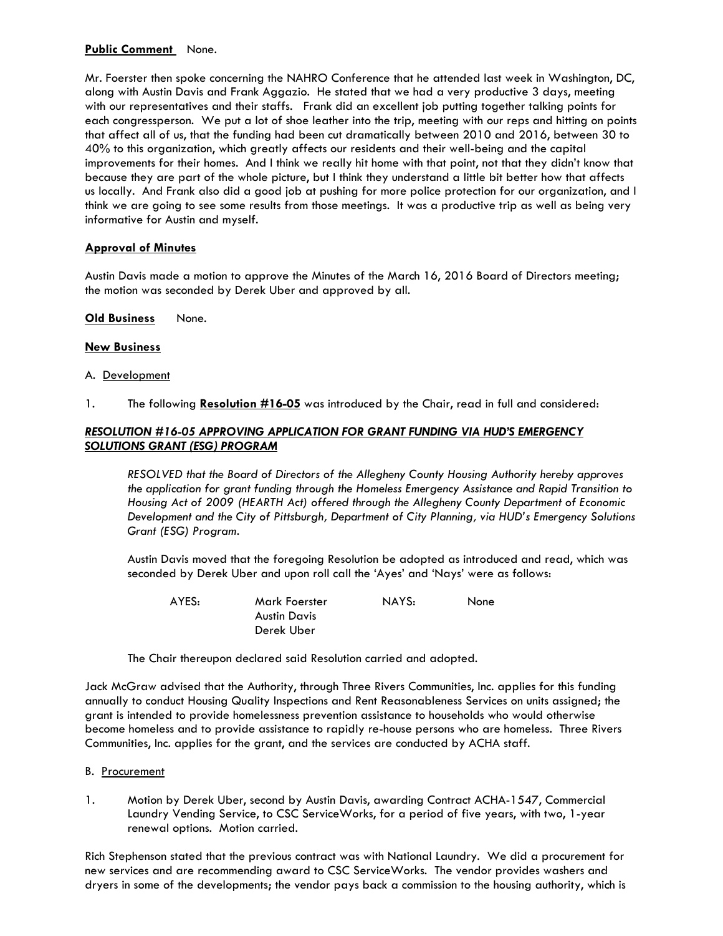## **Public Comment** None.

Mr. Foerster then spoke concerning the NAHRO Conference that he attended last week in Washington, DC, along with Austin Davis and Frank Aggazio. He stated that we had a very productive 3 days, meeting with our representatives and their staffs. Frank did an excellent job putting together talking points for each congressperson. We put a lot of shoe leather into the trip, meeting with our reps and hitting on points that affect all of us, that the funding had been cut dramatically between 2010 and 2016, between 30 to 40% to this organization, which greatly affects our residents and their well-being and the capital improvements for their homes. And I think we really hit home with that point, not that they didn't know that because they are part of the whole picture, but I think they understand a little bit better how that affects us locally. And Frank also did a good job at pushing for more police protection for our organization, and I think we are going to see some results from those meetings. It was a productive trip as well as being very informative for Austin and myself.

## **Approval of Minutes**

Austin Davis made a motion to approve the Minutes of the March 16, 2016 Board of Directors meeting; the motion was seconded by Derek Uber and approved by all.

**Old Business** None.

### **New Business**

- A. Development
- 1. The following **Resolution #16-05** was introduced by the Chair, read in full and considered:

## *RESOLUTION #16-05 APPROVING APPLICATION FOR GRANT FUNDING VIA HUD'S EMERGENCY SOLUTIONS GRANT (ESG) PROGRAM*

 *RESOLVED that the Board of Directors of the Allegheny County Housing Authority hereby approves the application for grant funding through the Homeless Emergency Assistance and Rapid Transition to Housing Act of 2009 (HEARTH Act) offered through the Allegheny County Department of Economic Development and the City of Pittsburgh, Department of City Planning, via HUD's Emergency Solutions Grant (ESG) Program.* 

Austin Davis moved that the foregoing Resolution be adopted as introduced and read, which was seconded by Derek Uber and upon roll call the 'Ayes' and 'Nays' were as follows:

| AYES: | Mark Foerster | NAYS: | None |
|-------|---------------|-------|------|
|       | Austin Davis  |       |      |
|       | Derek Uber    |       |      |

The Chair thereupon declared said Resolution carried and adopted.

Jack McGraw advised that the Authority, through Three Rivers Communities, Inc. applies for this funding annually to conduct Housing Quality Inspections and Rent Reasonableness Services on units assigned; the grant is intended to provide homelessness prevention assistance to households who would otherwise become homeless and to provide assistance to rapidly re-house persons who are homeless. Three Rivers Communities, Inc. applies for the grant, and the services are conducted by ACHA staff.

- B. Procurement
- 1. Motion by Derek Uber, second by Austin Davis, awarding Contract ACHA-1547, Commercial Laundry Vending Service, to CSC ServiceWorks, for a period of five years, with two, 1-year renewal options. Motion carried.

Rich Stephenson stated that the previous contract was with National Laundry. We did a procurement for new services and are recommending award to CSC ServiceWorks. The vendor provides washers and dryers in some of the developments; the vendor pays back a commission to the housing authority, which is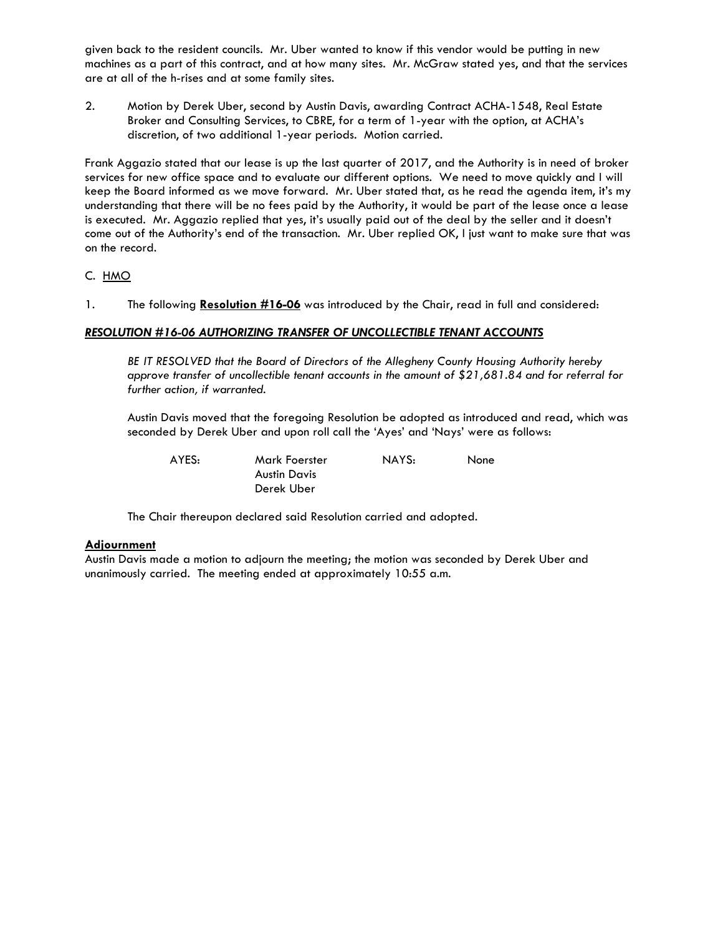given back to the resident councils. Mr. Uber wanted to know if this vendor would be putting in new machines as a part of this contract, and at how many sites. Mr. McGraw stated yes, and that the services are at all of the h-rises and at some family sites.

2. Motion by Derek Uber, second by Austin Davis, awarding Contract ACHA-1548, Real Estate Broker and Consulting Services, to CBRE, for a term of 1-year with the option, at ACHA's discretion, of two additional 1-year periods. Motion carried.

Frank Aggazio stated that our lease is up the last quarter of 2017, and the Authority is in need of broker services for new office space and to evaluate our different options. We need to move quickly and I will keep the Board informed as we move forward. Mr. Uber stated that, as he read the agenda item, it's my understanding that there will be no fees paid by the Authority, it would be part of the lease once a lease is executed. Mr. Aggazio replied that yes, it's usually paid out of the deal by the seller and it doesn't come out of the Authority's end of the transaction. Mr. Uber replied OK, I just want to make sure that was on the record.

## C. HMO

1. The following **Resolution #16-06** was introduced by the Chair, read in full and considered:

### *RESOLUTION #16-06 AUTHORIZING TRANSFER OF UNCOLLECTIBLE TENANT ACCOUNTS*

 *BE IT RESOLVED that the Board of Directors of the Allegheny County Housing Authority hereby approve transfer of uncollectible tenant accounts in the amount of \$21,681.84 and for referral for further action, if warranted.* 

Austin Davis moved that the foregoing Resolution be adopted as introduced and read, which was seconded by Derek Uber and upon roll call the 'Ayes' and 'Nays' were as follows:

AYES: Mark Foerster NAYS: None

The Chair thereupon declared said Resolution carried and adopted.

Austin Davis Derek Uber

### **Adjournment**

Austin Davis made a motion to adjourn the meeting; the motion was seconded by Derek Uber and unanimously carried. The meeting ended at approximately 10:55 a.m.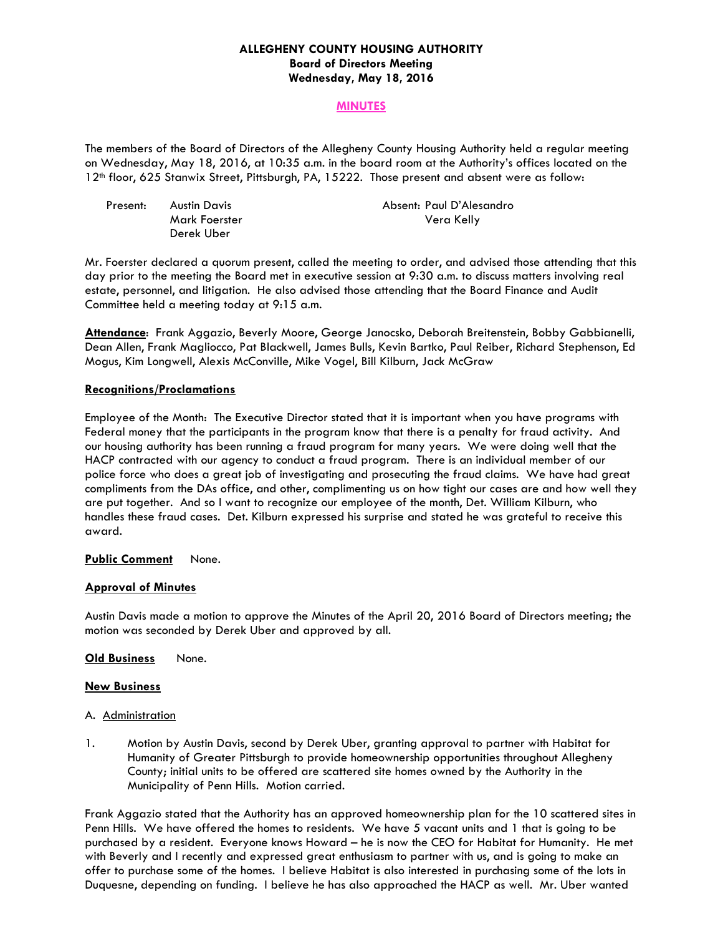## **ALLEGHENY COUNTY HOUSING AUTHORITY Board of Directors Meeting Wednesday, May 18, 2016**

### **MINUTES**

The members of the Board of Directors of the Allegheny County Housing Authority held a regular meeting on Wednesday, May 18, 2016, at 10:35 a.m. in the board room at the Authority's offices located on the 12th floor, 625 Stanwix Street, Pittsburgh, PA, 15222. Those present and absent were as follow:

| Present: | Austin Davis  | Absent: Paul D'Alesandro |
|----------|---------------|--------------------------|
|          | Mark Foerster | Vera Kelly               |
|          | Derek Uber    |                          |

Mr. Foerster declared a quorum present, called the meeting to order, and advised those attending that this day prior to the meeting the Board met in executive session at 9:30 a.m. to discuss matters involving real estate, personnel, and litigation. He also advised those attending that the Board Finance and Audit Committee held a meeting today at 9:15 a.m.

**Attendance**: Frank Aggazio, Beverly Moore, George Janocsko, Deborah Breitenstein, Bobby Gabbianelli, Dean Allen, Frank Magliocco, Pat Blackwell, James Bulls, Kevin Bartko, Paul Reiber, Richard Stephenson, Ed Mogus, Kim Longwell, Alexis McConville, Mike Vogel, Bill Kilburn, Jack McGraw

#### **Recognitions/Proclamations**

Employee of the Month: The Executive Director stated that it is important when you have programs with Federal money that the participants in the program know that there is a penalty for fraud activity. And our housing authority has been running a fraud program for many years. We were doing well that the HACP contracted with our agency to conduct a fraud program. There is an individual member of our police force who does a great job of investigating and prosecuting the fraud claims. We have had great compliments from the DAs office, and other, complimenting us on how tight our cases are and how well they are put together. And so I want to recognize our employee of the month, Det. William Kilburn, who handles these fraud cases. Det. Kilburn expressed his surprise and stated he was grateful to receive this award.

#### **Public Comment** None.

#### **Approval of Minutes**

Austin Davis made a motion to approve the Minutes of the April 20, 2016 Board of Directors meeting; the motion was seconded by Derek Uber and approved by all.

#### **Old Business** None.

### **New Business**

#### A. Administration

1. Motion by Austin Davis, second by Derek Uber, granting approval to partner with Habitat for Humanity of Greater Pittsburgh to provide homeownership opportunities throughout Allegheny County; initial units to be offered are scattered site homes owned by the Authority in the Municipality of Penn Hills. Motion carried.

Frank Aggazio stated that the Authority has an approved homeownership plan for the 10 scattered sites in Penn Hills. We have offered the homes to residents. We have 5 vacant units and 1 that is going to be purchased by a resident. Everyone knows Howard – he is now the CEO for Habitat for Humanity. He met with Beverly and I recently and expressed great enthusiasm to partner with us, and is going to make an offer to purchase some of the homes. I believe Habitat is also interested in purchasing some of the lots in Duquesne, depending on funding. I believe he has also approached the HACP as well. Mr. Uber wanted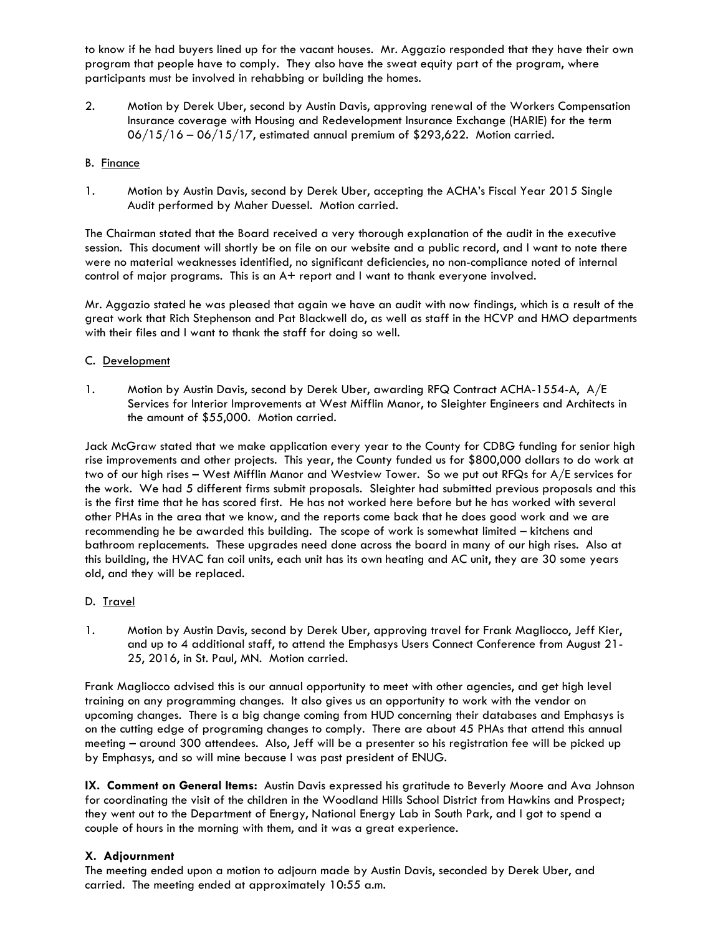to know if he had buyers lined up for the vacant houses. Mr. Aggazio responded that they have their own program that people have to comply. They also have the sweat equity part of the program, where participants must be involved in rehabbing or building the homes.

2. Motion by Derek Uber, second by Austin Davis, approving renewal of the Workers Compensation Insurance coverage with Housing and Redevelopment Insurance Exchange (HARIE) for the term  $06/15/16 - 06/15/17$ , estimated annual premium of \$293,622. Motion carried.

## B. Finance

1. Motion by Austin Davis, second by Derek Uber, accepting the ACHA's Fiscal Year 2015 Single Audit performed by Maher Duessel. Motion carried.

The Chairman stated that the Board received a very thorough explanation of the audit in the executive session. This document will shortly be on file on our website and a public record, and I want to note there were no material weaknesses identified, no significant deficiencies, no non-compliance noted of internal control of major programs. This is an A+ report and I want to thank everyone involved.

Mr. Aggazio stated he was pleased that again we have an audit with now findings, which is a result of the great work that Rich Stephenson and Pat Blackwell do, as well as staff in the HCVP and HMO departments with their files and I want to thank the staff for doing so well.

### C. Development

1. Motion by Austin Davis, second by Derek Uber, awarding RFQ Contract ACHA-1554-A, A/E Services for Interior Improvements at West Mifflin Manor, to Sleighter Engineers and Architects in the amount of \$55,000. Motion carried.

Jack McGraw stated that we make application every year to the County for CDBG funding for senior high rise improvements and other projects. This year, the County funded us for \$800,000 dollars to do work at two of our high rises – West Mifflin Manor and Westview Tower. So we put out RFQs for A/E services for the work. We had 5 different firms submit proposals. Sleighter had submitted previous proposals and this is the first time that he has scored first. He has not worked here before but he has worked with several other PHAs in the area that we know, and the reports come back that he does good work and we are recommending he be awarded this building. The scope of work is somewhat limited – kitchens and bathroom replacements. These upgrades need done across the board in many of our high rises. Also at this building, the HVAC fan coil units, each unit has its own heating and AC unit, they are 30 some years old, and they will be replaced.

### D. Travel

1. Motion by Austin Davis, second by Derek Uber, approving travel for Frank Magliocco, Jeff Kier, and up to 4 additional staff, to attend the Emphasys Users Connect Conference from August 21- 25, 2016, in St. Paul, MN. Motion carried.

Frank Magliocco advised this is our annual opportunity to meet with other agencies, and get high level training on any programming changes. It also gives us an opportunity to work with the vendor on upcoming changes. There is a big change coming from HUD concerning their databases and Emphasys is on the cutting edge of programing changes to comply. There are about 45 PHAs that attend this annual meeting – around 300 attendees. Also, Jeff will be a presenter so his registration fee will be picked up by Emphasys, and so will mine because I was past president of ENUG.

**IX. Comment on General Items:** Austin Davis expressed his gratitude to Beverly Moore and Ava Johnson for coordinating the visit of the children in the Woodland Hills School District from Hawkins and Prospect; they went out to the Department of Energy, National Energy Lab in South Park, and I got to spend a couple of hours in the morning with them, and it was a great experience.

### **X. Adjournment**

The meeting ended upon a motion to adjourn made by Austin Davis, seconded by Derek Uber, and carried. The meeting ended at approximately 10:55 a.m.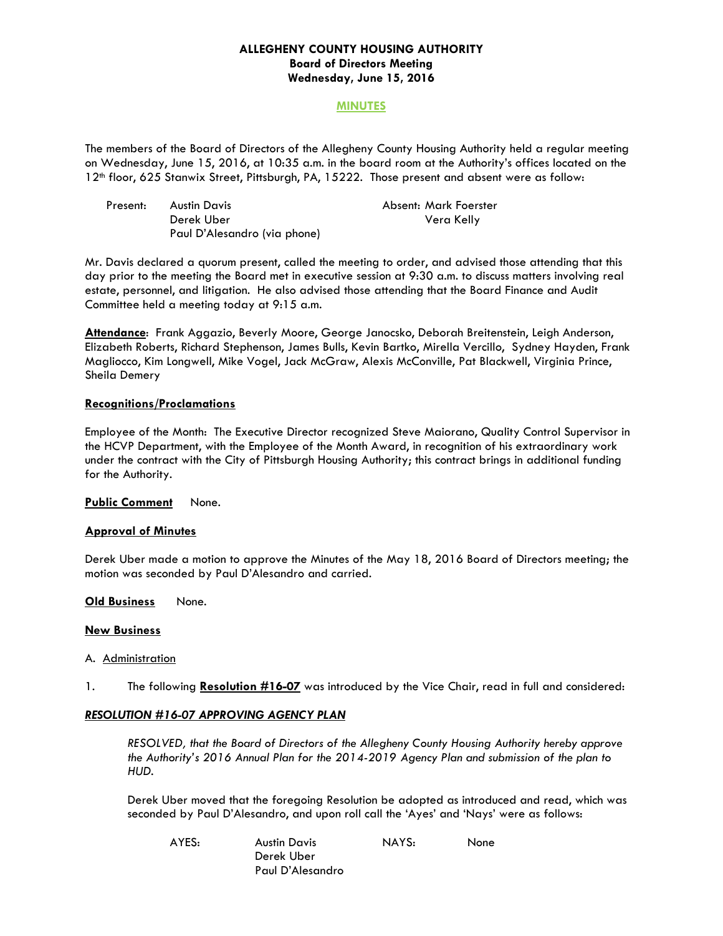## **ALLEGHENY COUNTY HOUSING AUTHORITY Board of Directors Meeting Wednesday, June 15, 2016**

### **MINUTES**

The members of the Board of Directors of the Allegheny County Housing Authority held a regular meeting on Wednesday, June 15, 2016, at 10:35 a.m. in the board room at the Authority's offices located on the 12th floor, 625 Stanwix Street, Pittsburgh, PA, 15222. Those present and absent were as follow:

| Present: | Austin Davis                 | Absent: Mark Foerster |
|----------|------------------------------|-----------------------|
|          | Derek Uber                   | Vera Kelly            |
|          | Paul D'Alesandro (via phone) |                       |

Mr. Davis declared a quorum present, called the meeting to order, and advised those attending that this day prior to the meeting the Board met in executive session at 9:30 a.m. to discuss matters involving real estate, personnel, and litigation. He also advised those attending that the Board Finance and Audit Committee held a meeting today at 9:15 a.m.

**Attendance**: Frank Aggazio, Beverly Moore, George Janocsko, Deborah Breitenstein, Leigh Anderson, Elizabeth Roberts, Richard Stephenson, James Bulls, Kevin Bartko, Mirella Vercillo, Sydney Hayden, Frank Magliocco, Kim Longwell, Mike Vogel, Jack McGraw, Alexis McConville, Pat Blackwell, Virginia Prince, Sheila Demery

### **Recognitions/Proclamations**

Employee of the Month: The Executive Director recognized Steve Maiorano, Quality Control Supervisor in the HCVP Department, with the Employee of the Month Award, in recognition of his extraordinary work under the contract with the City of Pittsburgh Housing Authority; this contract brings in additional funding for the Authority.

### **Public Comment** None.

## **Approval of Minutes**

Derek Uber made a motion to approve the Minutes of the May 18, 2016 Board of Directors meeting; the motion was seconded by Paul D'Alesandro and carried.

### **Old Business** None.

### **New Business**

### A. Administration

1. The following **Resolution #16-07** was introduced by the Vice Chair, read in full and considered:

## *RESOLUTION #16-07 APPROVING AGENCY PLAN*

 *RESOLVED, that the Board of Directors of the Allegheny County Housing Authority hereby approve the Authority's 2016 Annual Plan for the 2014-2019 Agency Plan and submission of the plan to HUD.* 

Derek Uber moved that the foregoing Resolution be adopted as introduced and read, which was seconded by Paul D'Alesandro, and upon roll call the 'Ayes' and 'Nays' were as follows:

| AYES: | Austin Davis     | NAYS: | None |
|-------|------------------|-------|------|
|       | Derek Uber       |       |      |
|       | Paul D'Alesandro |       |      |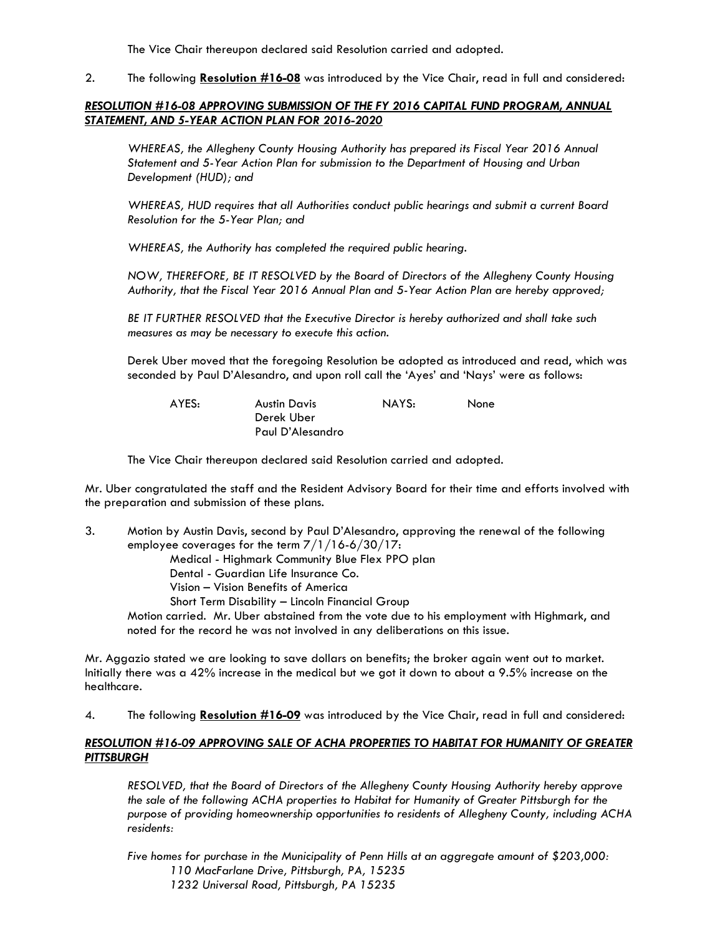The Vice Chair thereupon declared said Resolution carried and adopted*.* 

2. The following **Resolution #16-08** was introduced by the Vice Chair, read in full and considered:

### *RESOLUTION #16-08 APPROVING SUBMISSION OF THE FY 2016 CAPITAL FUND PROGRAM, ANNUAL STATEMENT, AND 5-YEAR ACTION PLAN FOR 2016-2020*

 *WHEREAS, the Allegheny County Housing Authority has prepared its Fiscal Year 2016 Annual Statement and 5-Year Action Plan for submission to the Department of Housing and Urban Development (HUD); and* 

 *WHEREAS, HUD requires that all Authorities conduct public hearings and submit a current Board Resolution for the 5-Year Plan; and* 

 *WHEREAS, the Authority has completed the required public hearing.* 

 *NOW, THEREFORE, BE IT RESOLVED by the Board of Directors of the Allegheny County Housing Authority, that the Fiscal Year 2016 Annual Plan and 5-Year Action Plan are hereby approved;* 

 *BE IT FURTHER RESOLVED that the Executive Director is hereby authorized and shall take such measures as may be necessary to execute this action.* 

Derek Uber moved that the foregoing Resolution be adopted as introduced and read, which was seconded by Paul D'Alesandro, and upon roll call the 'Ayes' and 'Nays' were as follows:

| AYES: | Austin Davis     | NAYS: | None |
|-------|------------------|-------|------|
|       | Derek Uber       |       |      |
|       | Paul D'Alesandro |       |      |

The Vice Chair thereupon declared said Resolution carried and adopted*.* 

Mr. Uber congratulated the staff and the Resident Advisory Board for their time and efforts involved with the preparation and submission of these plans.

3. Motion by Austin Davis, second by Paul D'Alesandro, approving the renewal of the following employee coverages for the term 7/1/16-6/30/17: Medical - Highmark Community Blue Flex PPO plan Dental - Guardian Life Insurance Co. Vision – Vision Benefits of America Short Term Disability – Lincoln Financial Group Motion carried. Mr. Uber abstained from the vote due to his employment with Highmark, and noted for the record he was not involved in any deliberations on this issue.

Mr. Aggazio stated we are looking to save dollars on benefits; the broker again went out to market. Initially there was a 42% increase in the medical but we got it down to about a 9.5% increase on the healthcare.

4. The following **Resolution #16-09** was introduced by the Vice Chair, read in full and considered:

### *RESOLUTION #16-09 APPROVING SALE OF ACHA PROPERTIES TO HABITAT FOR HUMANITY OF GREATER PITTSBURGH*

 *RESOLVED, that the Board of Directors of the Allegheny County Housing Authority hereby approve the sale of the following ACHA properties to Habitat for Humanity of Greater Pittsburgh for the purpose of providing homeownership opportunities to residents of Allegheny County, including ACHA residents:* 

 *Five homes for purchase in the Municipality of Penn Hills at an aggregate amount of \$203,000: 110 MacFarlane Drive, Pittsburgh, PA, 15235 1232 Universal Road, Pittsburgh, PA 15235*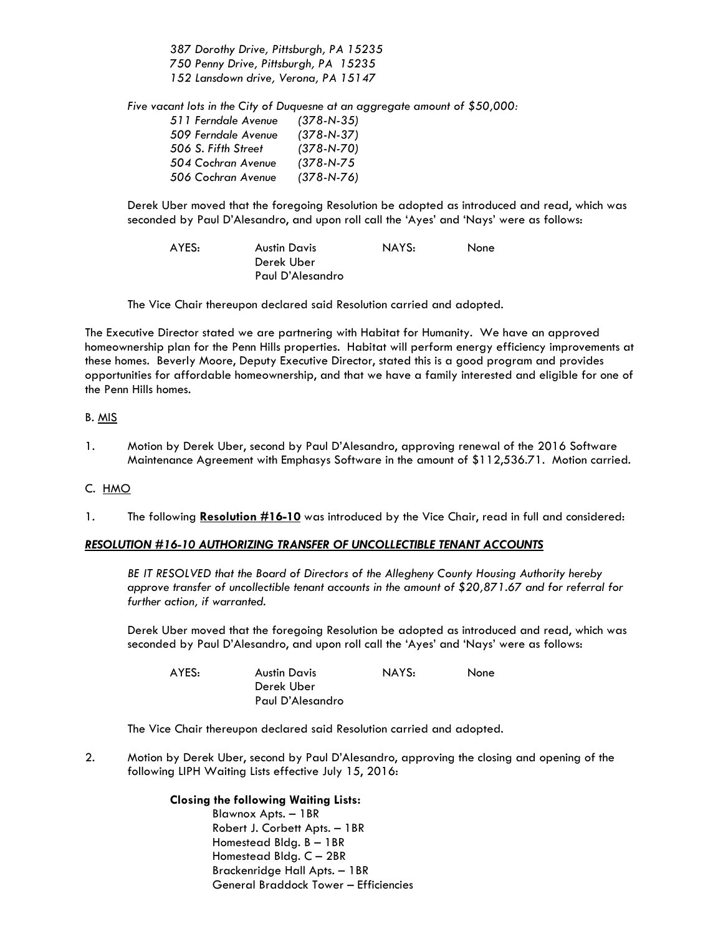*387 Dorothy Drive, Pittsburgh, PA 15235 750 Penny Drive, Pittsburgh, PA 15235 152 Lansdown drive, Verona, PA 15147* 

 *Five vacant lots in the City of Duquesne at an aggregate amount of \$50,000:* 

| 511 Ferndale Avenue | $(378-N-35)$     |
|---------------------|------------------|
| 509 Ferndale Avenue | $(378-N-37)$     |
| 506 S. Fifth Street | $(378-N-70)$     |
| 504 Cochran Avenue  | $(378 - N - 75)$ |
| 506 Cochran Avenue  | $(378-N-76)$     |

Derek Uber moved that the foregoing Resolution be adopted as introduced and read, which was seconded by Paul D'Alesandro, and upon roll call the 'Ayes' and 'Nays' were as follows:

| AYES: | Austin Davis     | NAYS: | None |
|-------|------------------|-------|------|
|       | Derek Uber       |       |      |
|       | Paul D'Alesandro |       |      |

The Vice Chair thereupon declared said Resolution carried and adopted*.* 

The Executive Director stated we are partnering with Habitat for Humanity. We have an approved homeownership plan for the Penn Hills properties. Habitat will perform energy efficiency improvements at these homes. Beverly Moore, Deputy Executive Director, stated this is a good program and provides opportunities for affordable homeownership, and that we have a family interested and eligible for one of the Penn Hills homes.

#### B. MIS

1. Motion by Derek Uber, second by Paul D'Alesandro, approving renewal of the 2016 Software Maintenance Agreement with Emphasys Software in the amount of \$112,536.71. Motion carried.

#### C. H<sub>MO</sub>

1. The following **Resolution #16-10** was introduced by the Vice Chair, read in full and considered:

#### *RESOLUTION #16-10 AUTHORIZING TRANSFER OF UNCOLLECTIBLE TENANT ACCOUNTS*

 *BE IT RESOLVED that the Board of Directors of the Allegheny County Housing Authority hereby approve transfer of uncollectible tenant accounts in the amount of \$20,871.67 and for referral for further action, if warranted.* 

Derek Uber moved that the foregoing Resolution be adopted as introduced and read, which was seconded by Paul D'Alesandro, and upon roll call the 'Ayes' and 'Nays' were as follows:

| AYES: | Austin Davis     | NAYS: | <b>None</b> |
|-------|------------------|-------|-------------|
|       | Derek Uber       |       |             |
|       | Paul D'Alesandro |       |             |

The Vice Chair thereupon declared said Resolution carried and adopted*.* 

2. Motion by Derek Uber, second by Paul D'Alesandro, approving the closing and opening of the following LIPH Waiting Lists effective July 15, 2016:

## **Closing the following Waiting Lists:** Blawnox Apts. – 1BR Robert J. Corbett Apts. – 1BR Homestead Bldg. B – 1BR Homestead Bldg. C – 2BR Brackenridge Hall Apts. – 1BR General Braddock Tower – Efficiencies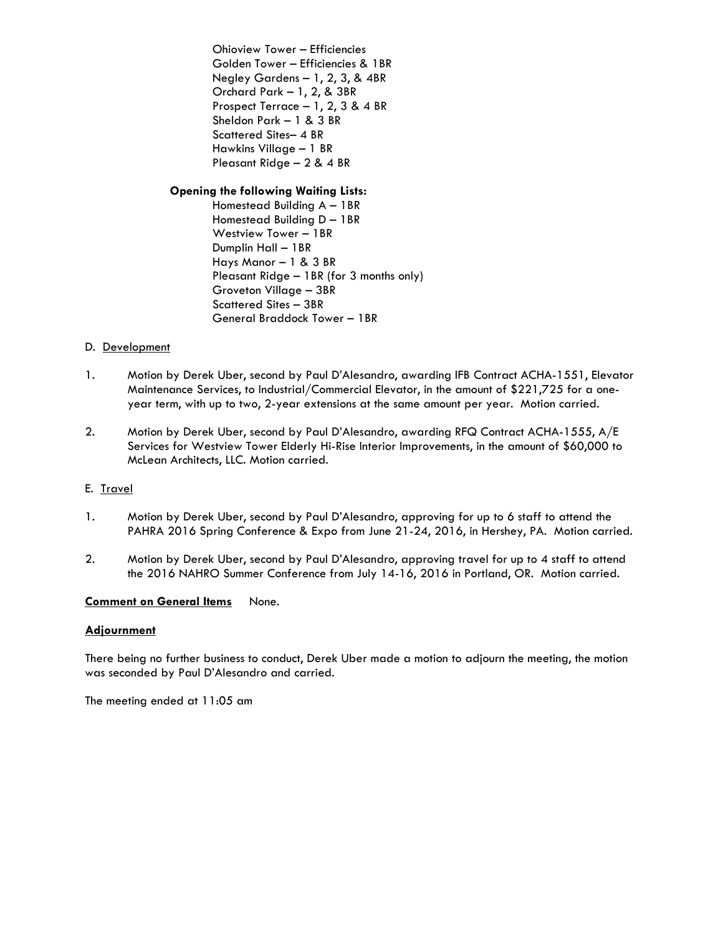Ohioview Tower – Efficiencies Golden Tower – Efficiencies & 1BR Negley Gardens – 1, 2, 3, & 4BR Orchard Park – 1, 2, & 3BR Prospect Terrace – 1, 2, 3 & 4 BR Sheldon Park – 1 & 3 BR Scattered Sites– 4 BR Hawkins Village – 1 BR Pleasant Ridge – 2 & 4 BR

## **Opening the following Waiting Lists:**

Homestead Building A – 1BR Homestead Building D – 1BR Westview Tower – 1BR Dumplin Hall – 1BR Hays Manor – 1 & 3 BR Pleasant Ridge – 1BR (for 3 months only) Groveton Village – 3BR Scattered Sites – 3BR General Braddock Tower – 1BR

### D. Development

- 1. Motion by Derek Uber, second by Paul D'Alesandro, awarding IFB Contract ACHA-1551, Elevator Maintenance Services, to Industrial/Commercial Elevator, in the amount of \$221,725 for a oneyear term, with up to two, 2-year extensions at the same amount per year. Motion carried.
- 2. Motion by Derek Uber, second by Paul D'Alesandro, awarding RFQ Contract ACHA-1555, A/E Services for Westview Tower Elderly Hi-Rise Interior Improvements, in the amount of \$60,000 to McLean Architects, LLC. Motion carried.

### E. Travel

- 1. Motion by Derek Uber, second by Paul D'Alesandro, approving for up to 6 staff to attend the PAHRA 2016 Spring Conference & Expo from June 21-24, 2016, in Hershey, PA. Motion carried.
- 2. Motion by Derek Uber, second by Paul D'Alesandro, approving travel for up to 4 staff to attend the 2016 NAHRO Summer Conference from July 14-16, 2016 in Portland, OR. Motion carried.

### **Comment on General Items** None.

### **Adjournment**

There being no further business to conduct, Derek Uber made a motion to adjourn the meeting, the motion was seconded by Paul D'Alesandro and carried.

The meeting ended at 11:05 am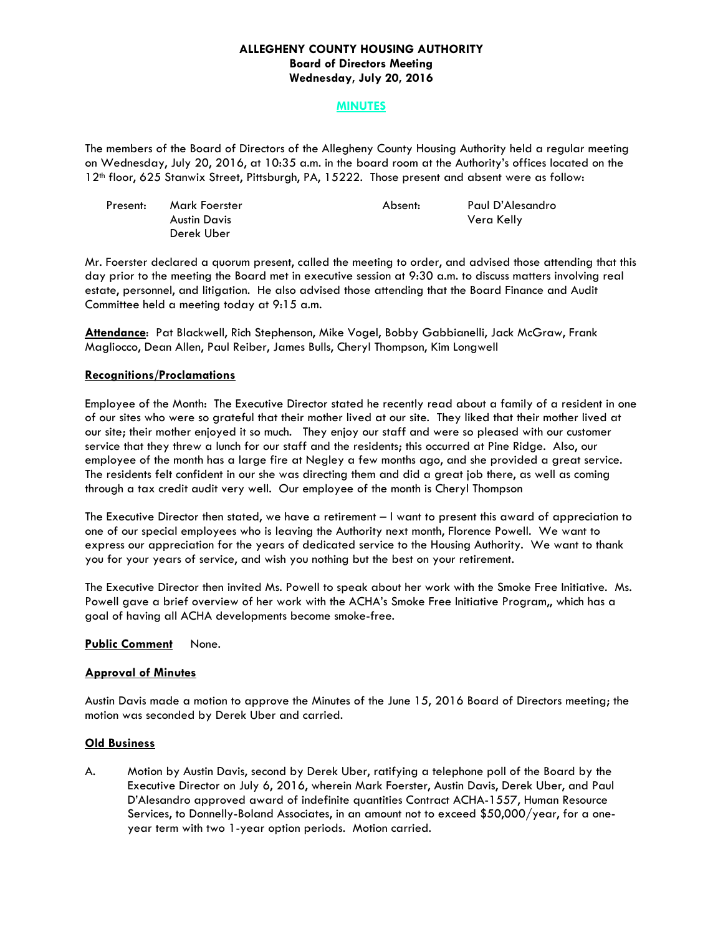## **ALLEGHENY COUNTY HOUSING AUTHORITY Board of Directors Meeting Wednesday, July 20, 2016**

#### **MINUTES**

The members of the Board of Directors of the Allegheny County Housing Authority held a regular meeting on Wednesday, July 20, 2016, at 10:35 a.m. in the board room at the Authority's offices located on the 12th floor, 625 Stanwix Street, Pittsburgh, PA, 15222. Those present and absent were as follow:

| Present: | Mark Foerster | Absent: | Paul D'Alesandro |
|----------|---------------|---------|------------------|
|          | Austin Davis  |         | Vera Kelly       |
|          | Derek Uber    |         |                  |

Mr. Foerster declared a quorum present, called the meeting to order, and advised those attending that this day prior to the meeting the Board met in executive session at 9:30 a.m. to discuss matters involving real estate, personnel, and litigation. He also advised those attending that the Board Finance and Audit Committee held a meeting today at 9:15 a.m.

**Attendance**: Pat Blackwell, Rich Stephenson, Mike Vogel, Bobby Gabbianelli, Jack McGraw, Frank Magliocco, Dean Allen, Paul Reiber, James Bulls, Cheryl Thompson, Kim Longwell

#### **Recognitions/Proclamations**

Employee of the Month: The Executive Director stated he recently read about a family of a resident in one of our sites who were so grateful that their mother lived at our site. They liked that their mother lived at our site; their mother enjoyed it so much. They enjoy our staff and were so pleased with our customer service that they threw a lunch for our staff and the residents; this occurred at Pine Ridge. Also, our employee of the month has a large fire at Negley a few months ago, and she provided a great service. The residents felt confident in our she was directing them and did a great job there, as well as coming through a tax credit audit very well. Our employee of the month is Cheryl Thompson

The Executive Director then stated, we have a retirement – I want to present this award of appreciation to one of our special employees who is leaving the Authority next month, Florence Powell. We want to express our appreciation for the years of dedicated service to the Housing Authority. We want to thank you for your years of service, and wish you nothing but the best on your retirement.

The Executive Director then invited Ms. Powell to speak about her work with the Smoke Free Initiative. Ms. Powell gave a brief overview of her work with the ACHA's Smoke Free Initiative Program,, which has a goal of having all ACHA developments become smoke-free.

#### **Public Comment** None.

### **Approval of Minutes**

Austin Davis made a motion to approve the Minutes of the June 15, 2016 Board of Directors meeting; the motion was seconded by Derek Uber and carried.

#### **Old Business**

A. Motion by Austin Davis, second by Derek Uber, ratifying a telephone poll of the Board by the Executive Director on July 6, 2016, wherein Mark Foerster, Austin Davis, Derek Uber, and Paul D'Alesandro approved award of indefinite quantities Contract ACHA-1557, Human Resource Services, to Donnelly-Boland Associates, in an amount not to exceed \$50,000/year, for a oneyear term with two 1-year option periods. Motion carried.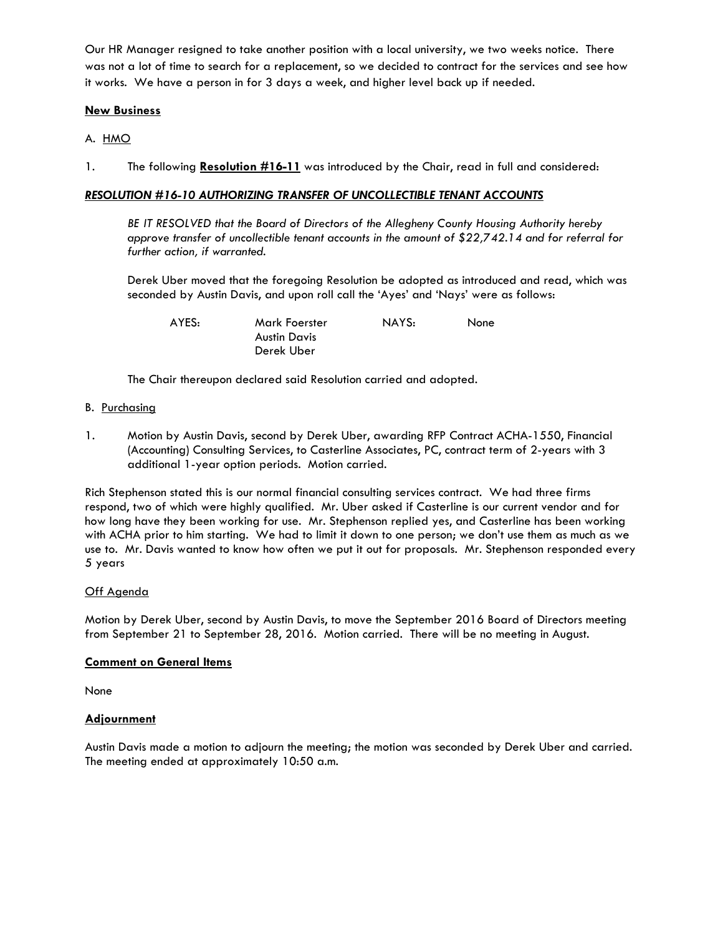Our HR Manager resigned to take another position with a local university, we two weeks notice. There was not a lot of time to search for a replacement, so we decided to contract for the services and see how it works. We have a person in for 3 days a week, and higher level back up if needed.

## **New Business**

- A. HMO
- 1. The following **Resolution #16-11** was introduced by the Chair, read in full and considered:

### *RESOLUTION #16-10 AUTHORIZING TRANSFER OF UNCOLLECTIBLE TENANT ACCOUNTS*

 *BE IT RESOLVED that the Board of Directors of the Allegheny County Housing Authority hereby approve transfer of uncollectible tenant accounts in the amount of \$22,742.14 and for referral for further action, if warranted.* 

Derek Uber moved that the foregoing Resolution be adopted as introduced and read, which was seconded by Austin Davis, and upon roll call the 'Ayes' and 'Nays' were as follows:

AYES: Mark Foerster NAYS: None

The Chair thereupon declared said Resolution carried and adopted*.* 

Austin Davis Derek Uber

### B. Purchasing

1. Motion by Austin Davis, second by Derek Uber, awarding RFP Contract ACHA-1550, Financial (Accounting) Consulting Services, to Casterline Associates, PC, contract term of 2-years with 3 additional 1-year option periods. Motion carried.

Rich Stephenson stated this is our normal financial consulting services contract. We had three firms respond, two of which were highly qualified. Mr. Uber asked if Casterline is our current vendor and for how long have they been working for use. Mr. Stephenson replied yes, and Casterline has been working with ACHA prior to him starting. We had to limit it down to one person; we don't use them as much as we use to. Mr. Davis wanted to know how often we put it out for proposals. Mr. Stephenson responded every 5 years

### Off Agenda

Motion by Derek Uber, second by Austin Davis, to move the September 2016 Board of Directors meeting from September 21 to September 28, 2016. Motion carried. There will be no meeting in August.

### **Comment on General Items**

None

### **Adjournment**

Austin Davis made a motion to adjourn the meeting; the motion was seconded by Derek Uber and carried. The meeting ended at approximately 10:50 a.m.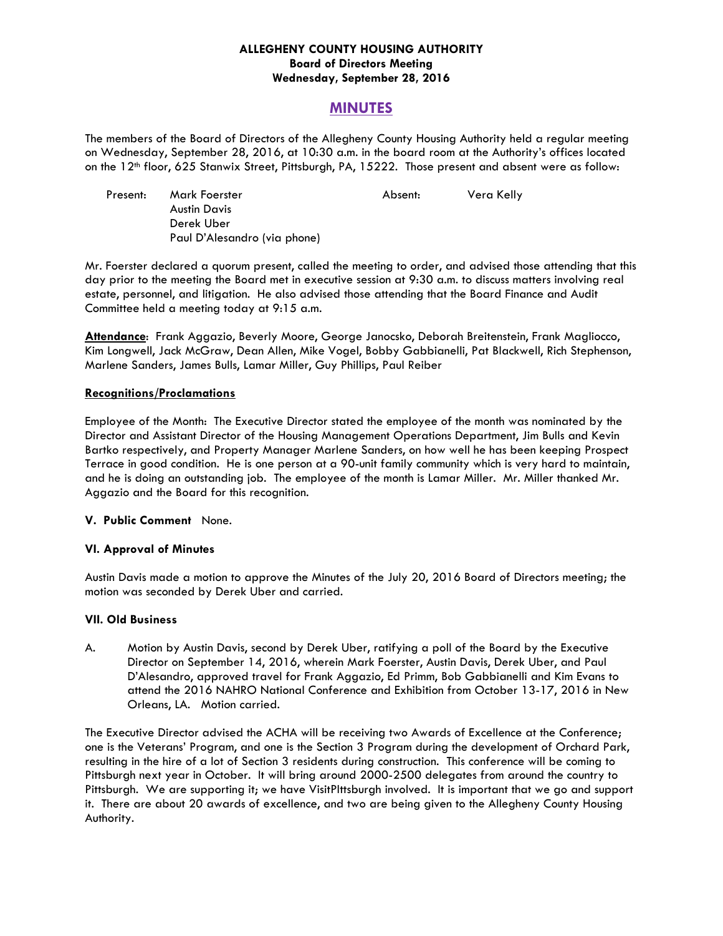## **ALLEGHENY COUNTY HOUSING AUTHORITY Board of Directors Meeting Wednesday, September 28, 2016**

# **MINUTES**

The members of the Board of Directors of the Allegheny County Housing Authority held a regular meeting on Wednesday, September 28, 2016, at 10:30 a.m. in the board room at the Authority's offices located on the 12<sup>th</sup> floor, 625 Stanwix Street, Pittsburgh, PA, 15222. Those present and absent were as follow:

| Present: | Mark Foerster                | Absent: | Vera Kelly |
|----------|------------------------------|---------|------------|
|          | Austin Davis                 |         |            |
|          | Derek Uber                   |         |            |
|          | Paul D'Alesandro (via phone) |         |            |

Mr. Foerster declared a quorum present, called the meeting to order, and advised those attending that this day prior to the meeting the Board met in executive session at 9:30 a.m. to discuss matters involving real estate, personnel, and litigation. He also advised those attending that the Board Finance and Audit Committee held a meeting today at 9:15 a.m.

**Attendance**: Frank Aggazio, Beverly Moore, George Janocsko, Deborah Breitenstein, Frank Magliocco, Kim Longwell, Jack McGraw, Dean Allen, Mike Vogel, Bobby Gabbianelli, Pat Blackwell, Rich Stephenson, Marlene Sanders, James Bulls, Lamar Miller, Guy Phillips, Paul Reiber

## **Recognitions/Proclamations**

Employee of the Month: The Executive Director stated the employee of the month was nominated by the Director and Assistant Director of the Housing Management Operations Department, Jim Bulls and Kevin Bartko respectively, and Property Manager Marlene Sanders, on how well he has been keeping Prospect Terrace in good condition. He is one person at a 90-unit family community which is very hard to maintain, and he is doing an outstanding job. The employee of the month is Lamar Miller. Mr. Miller thanked Mr. Aggazio and the Board for this recognition.

### **V. Public Comment** None.

## **VI. Approval of Minutes**

Austin Davis made a motion to approve the Minutes of the July 20, 2016 Board of Directors meeting; the motion was seconded by Derek Uber and carried.

### **VII. Old Business**

A. Motion by Austin Davis, second by Derek Uber, ratifying a poll of the Board by the Executive Director on September 14, 2016, wherein Mark Foerster, Austin Davis, Derek Uber, and Paul D'Alesandro, approved travel for Frank Aggazio, Ed Primm, Bob Gabbianelli and Kim Evans to attend the 2016 NAHRO National Conference and Exhibition from October 13-17, 2016 in New Orleans, LA. Motion carried.

The Executive Director advised the ACHA will be receiving two Awards of Excellence at the Conference; one is the Veterans' Program, and one is the Section 3 Program during the development of Orchard Park, resulting in the hire of a lot of Section 3 residents during construction. This conference will be coming to Pittsburgh next year in October. It will bring around 2000-2500 delegates from around the country to Pittsburgh. We are supporting it; we have VisitPIttsburgh involved. It is important that we go and support it. There are about 20 awards of excellence, and two are being given to the Allegheny County Housing Authority.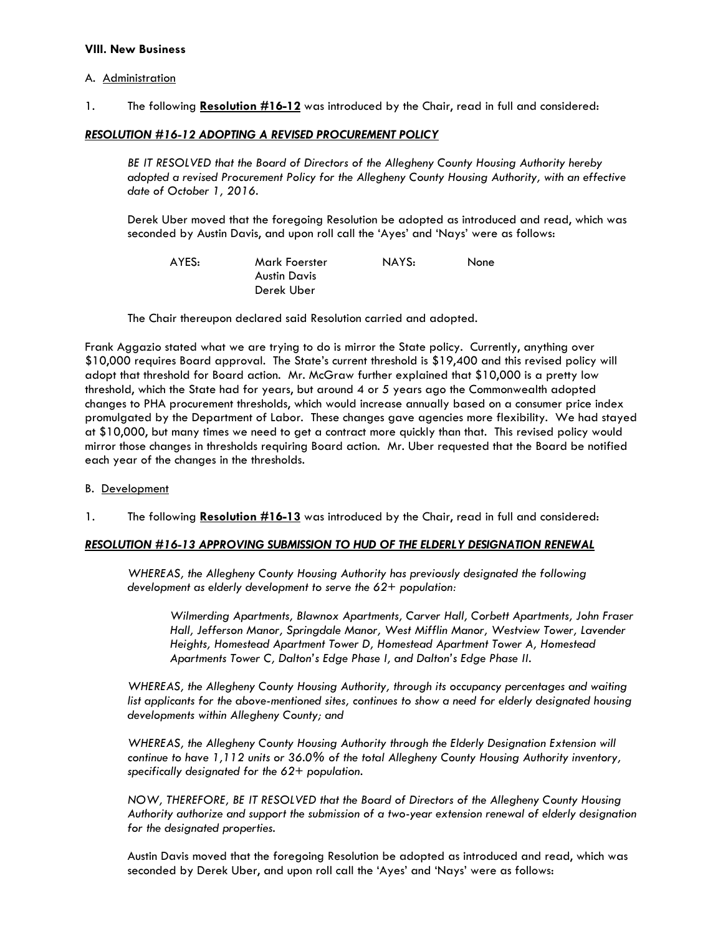#### **VIII. New Business**

#### A. Administration

1. The following **Resolution #16-12** was introduced by the Chair, read in full and considered:

#### *RESOLUTION #16-12 ADOPTING A REVISED PROCUREMENT POLICY*

 *BE IT RESOLVED that the Board of Directors of the Allegheny County Housing Authority hereby adopted a revised Procurement Policy for the Allegheny County Housing Authority, with an effective date of October 1, 2016.* 

Derek Uber moved that the foregoing Resolution be adopted as introduced and read, which was seconded by Austin Davis, and upon roll call the 'Ayes' and 'Nays' were as follows:

| AYES: | Mark Foerster | NAYS: | None |
|-------|---------------|-------|------|
|       | Austin Davis  |       |      |
|       | Derek Uber    |       |      |

The Chair thereupon declared said Resolution carried and adopted*.* 

Frank Aggazio stated what we are trying to do is mirror the State policy. Currently, anything over \$10,000 requires Board approval. The State's current threshold is \$19,400 and this revised policy will adopt that threshold for Board action. Mr. McGraw further explained that \$10,000 is a pretty low threshold, which the State had for years, but around 4 or 5 years ago the Commonwealth adopted changes to PHA procurement thresholds, which would increase annually based on a consumer price index promulgated by the Department of Labor. These changes gave agencies more flexibility. We had stayed at \$10,000, but many times we need to get a contract more quickly than that. This revised policy would mirror those changes in thresholds requiring Board action. Mr. Uber requested that the Board be notified each year of the changes in the thresholds.

- B. Development
- 1. The following **Resolution #16-13** was introduced by the Chair, read in full and considered:

#### *RESOLUTION #16-13 APPROVING SUBMISSION TO HUD OF THE ELDERLY DESIGNATION RENEWAL*

 *WHEREAS, the Allegheny County Housing Authority has previously designated the following development as elderly development to serve the 62+ population:* 

*Wilmerding Apartments, Blawnox Apartments, Carver Hall, Corbett Apartments, John Fraser Hall, Jefferson Manor, Springdale Manor, West Mifflin Manor, Westview Tower, Lavender Heights, Homestead Apartment Tower D, Homestead Apartment Tower A, Homestead Apartments Tower C, Dalton's Edge Phase I, and Dalton's Edge Phase II.* 

*WHEREAS, the Allegheny County Housing Authority, through its occupancy percentages and waiting*  list applicants for the above-mentioned sites, continues to show a need for elderly designated housing *developments within Allegheny County; and* 

*WHEREAS, the Allegheny County Housing Authority through the Elderly Designation Extension will continue to have 1,112 units or 36.0% of the total Allegheny County Housing Authority inventory, specifically designated for the 62+ population.* 

*NOW, THEREFORE, BE IT RESOLVED that the Board of Directors of the Allegheny County Housing Authority authorize and support the submission of a two-year extension renewal of elderly designation for the designated properties.* 

Austin Davis moved that the foregoing Resolution be adopted as introduced and read, which was seconded by Derek Uber, and upon roll call the 'Ayes' and 'Nays' were as follows: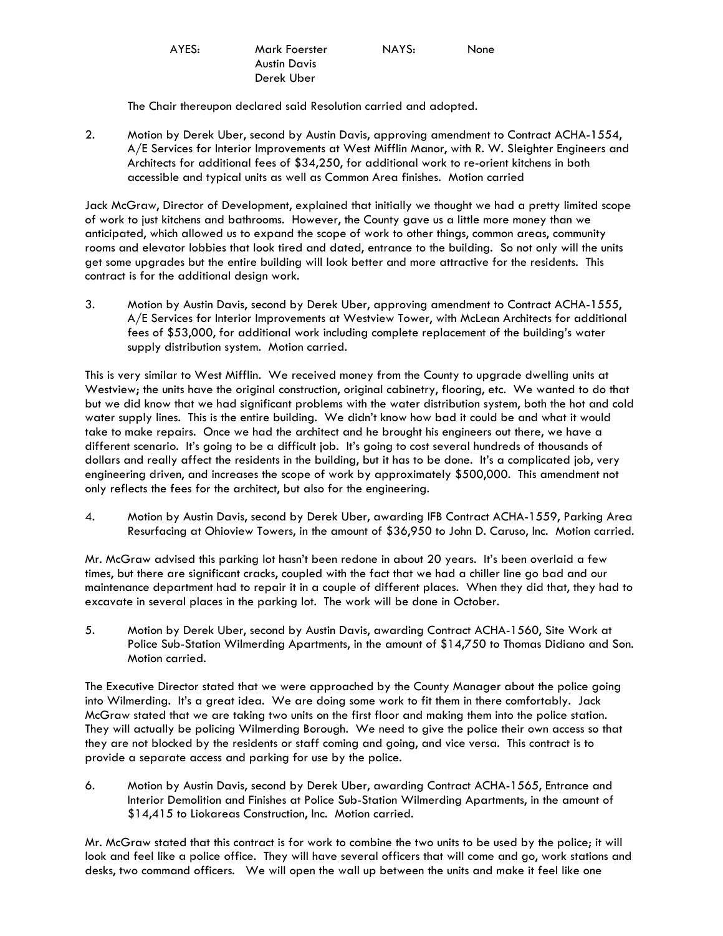| ×<br>۰, |
|---------|
|---------|

Mark Foerster **NAYS:** None Austin Davis Derek Uber

The Chair thereupon declared said Resolution carried and adopted*.* 

2. Motion by Derek Uber, second by Austin Davis, approving amendment to Contract ACHA-1554, A/E Services for Interior Improvements at West Mifflin Manor, with R. W. Sleighter Engineers and Architects for additional fees of \$34,250, for additional work to re-orient kitchens in both accessible and typical units as well as Common Area finishes. Motion carried

Jack McGraw, Director of Development, explained that initially we thought we had a pretty limited scope of work to just kitchens and bathrooms. However, the County gave us a little more money than we anticipated, which allowed us to expand the scope of work to other things, common areas, community rooms and elevator lobbies that look tired and dated, entrance to the building. So not only will the units get some upgrades but the entire building will look better and more attractive for the residents. This contract is for the additional design work.

3. Motion by Austin Davis, second by Derek Uber, approving amendment to Contract ACHA-1555, A/E Services for Interior Improvements at Westview Tower, with McLean Architects for additional fees of \$53,000, for additional work including complete replacement of the building's water supply distribution system. Motion carried.

This is very similar to West Mifflin. We received money from the County to upgrade dwelling units at Westview; the units have the original construction, original cabinetry, flooring, etc. We wanted to do that but we did know that we had significant problems with the water distribution system, both the hot and cold water supply lines. This is the entire building. We didn't know how bad it could be and what it would take to make repairs. Once we had the architect and he brought his engineers out there, we have a different scenario. It's going to be a difficult job. It's going to cost several hundreds of thousands of dollars and really affect the residents in the building, but it has to be done. It's a complicated job, very engineering driven, and increases the scope of work by approximately \$500,000. This amendment not only reflects the fees for the architect, but also for the engineering.

4. Motion by Austin Davis, second by Derek Uber, awarding IFB Contract ACHA-1559, Parking Area Resurfacing at Ohioview Towers, in the amount of \$36,950 to John D. Caruso, Inc. Motion carried.

Mr. McGraw advised this parking lot hasn't been redone in about 20 years. It's been overlaid a few times, but there are significant cracks, coupled with the fact that we had a chiller line go bad and our maintenance department had to repair it in a couple of different places. When they did that, they had to excavate in several places in the parking lot. The work will be done in October.

5. Motion by Derek Uber, second by Austin Davis, awarding Contract ACHA-1560, Site Work at Police Sub-Station Wilmerding Apartments, in the amount of \$14,750 to Thomas Didiano and Son. Motion carried.

The Executive Director stated that we were approached by the County Manager about the police going into Wilmerding. It's a great idea. We are doing some work to fit them in there comfortably. Jack McGraw stated that we are taking two units on the first floor and making them into the police station. They will actually be policing Wilmerding Borough. We need to give the police their own access so that they are not blocked by the residents or staff coming and going, and vice versa. This contract is to provide a separate access and parking for use by the police.

6. Motion by Austin Davis, second by Derek Uber, awarding Contract ACHA-1565, Entrance and Interior Demolition and Finishes at Police Sub-Station Wilmerding Apartments, in the amount of \$14,415 to Liokareas Construction, Inc. Motion carried.

Mr. McGraw stated that this contract is for work to combine the two units to be used by the police; it will look and feel like a police office. They will have several officers that will come and go, work stations and desks, two command officers. We will open the wall up between the units and make it feel like one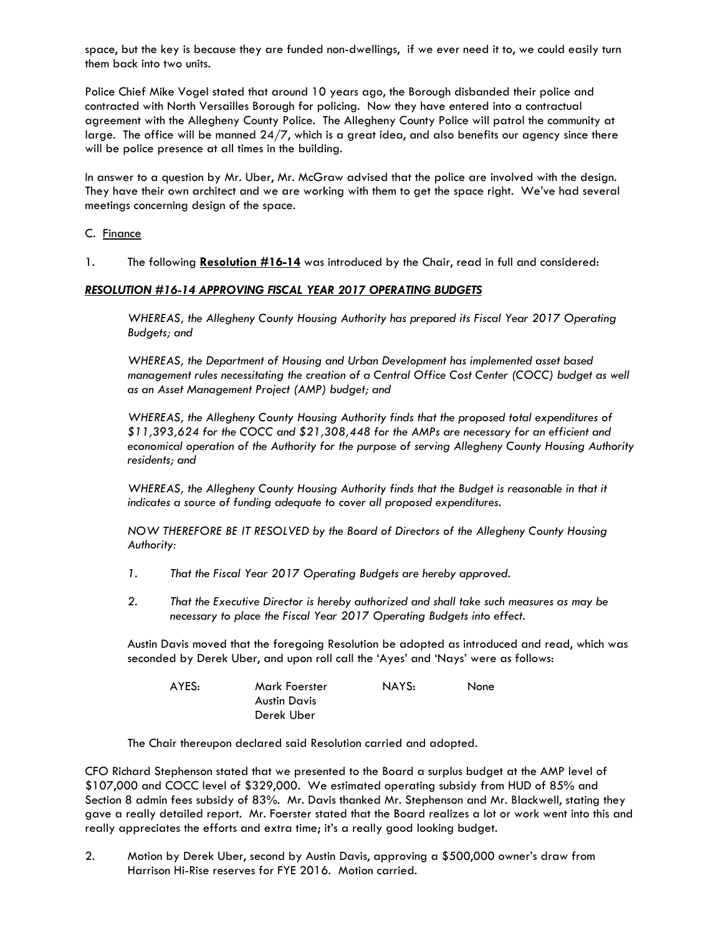space, but the key is because they are funded non-dwellings, if we ever need it to, we could easily turn them back into two units.

Police Chief Mike Vogel stated that around 10 years ago, the Borough disbanded their police and contracted with North Versailles Borough for policing. Now they have entered into a contractual agreement with the Allegheny County Police. The Allegheny County Police will patrol the community at large. The office will be manned 24/7, which is a great idea, and also benefits our agency since there will be police presence at all times in the building.

In answer to a question by Mr. Uber, Mr. McGraw advised that the police are involved with the design. They have their own architect and we are working with them to get the space right. We've had several meetings concerning design of the space.

## C. Finance

1. The following **Resolution #16-14** was introduced by the Chair, read in full and considered:

### *RESOLUTION #16-14 APPROVING FISCAL YEAR 2017 OPERATING BUDGETS*

*WHEREAS, the Allegheny County Housing Authority has prepared its Fiscal Year 2017 Operating Budgets; and* 

 *WHEREAS, the Department of Housing and Urban Development has implemented asset based management rules necessitating the creation of a Central Office Cost Center (COCC) budget as well as an Asset Management Project (AMP) budget; and* 

 *WHEREAS, the Allegheny County Housing Authority finds that the proposed total expenditures of \$11,393,624 for the COCC and \$21,308,448 for the AMPs are necessary for an efficient and economical operation of the Authority for the purpose of serving Allegheny County Housing Authority residents; and* 

*WHEREAS, the Allegheny County Housing Authority finds that the Budget is reasonable in that it indicates a source of funding adequate to cover all proposed expenditures.* 

 *NOW THEREFORE BE IT RESOLVED by the Board of Directors of the Allegheny County Housing Authority:* 

- *1. That the Fiscal Year 2017 Operating Budgets are hereby approved.*
- *2. That the Executive Director is hereby authorized and shall take such measures as may be necessary to place the Fiscal Year 2017 Operating Budgets into effect.*

Austin Davis moved that the foregoing Resolution be adopted as introduced and read, which was seconded by Derek Uber, and upon roll call the 'Ayes' and 'Nays' were as follows:

| AYES: | Mark Foerster | NAYS: | None |
|-------|---------------|-------|------|
|       | Austin Davis  |       |      |
|       | Derek Uber    |       |      |

The Chair thereupon declared said Resolution carried and adopted*.* 

CFO Richard Stephenson stated that we presented to the Board a surplus budget at the AMP level of \$107,000 and COCC level of \$329,000. We estimated operating subsidy from HUD of 85% and Section 8 admin fees subsidy of 83%. Mr. Davis thanked Mr. Stephenson and Mr. Blackwell, stating they gave a really detailed report. Mr. Foerster stated that the Board realizes a lot or work went into this and really appreciates the efforts and extra time; it's a really good looking budget.

2. Motion by Derek Uber, second by Austin Davis, approving a \$500,000 owner's draw from Harrison Hi-Rise reserves for FYE 2016. Motion carried.